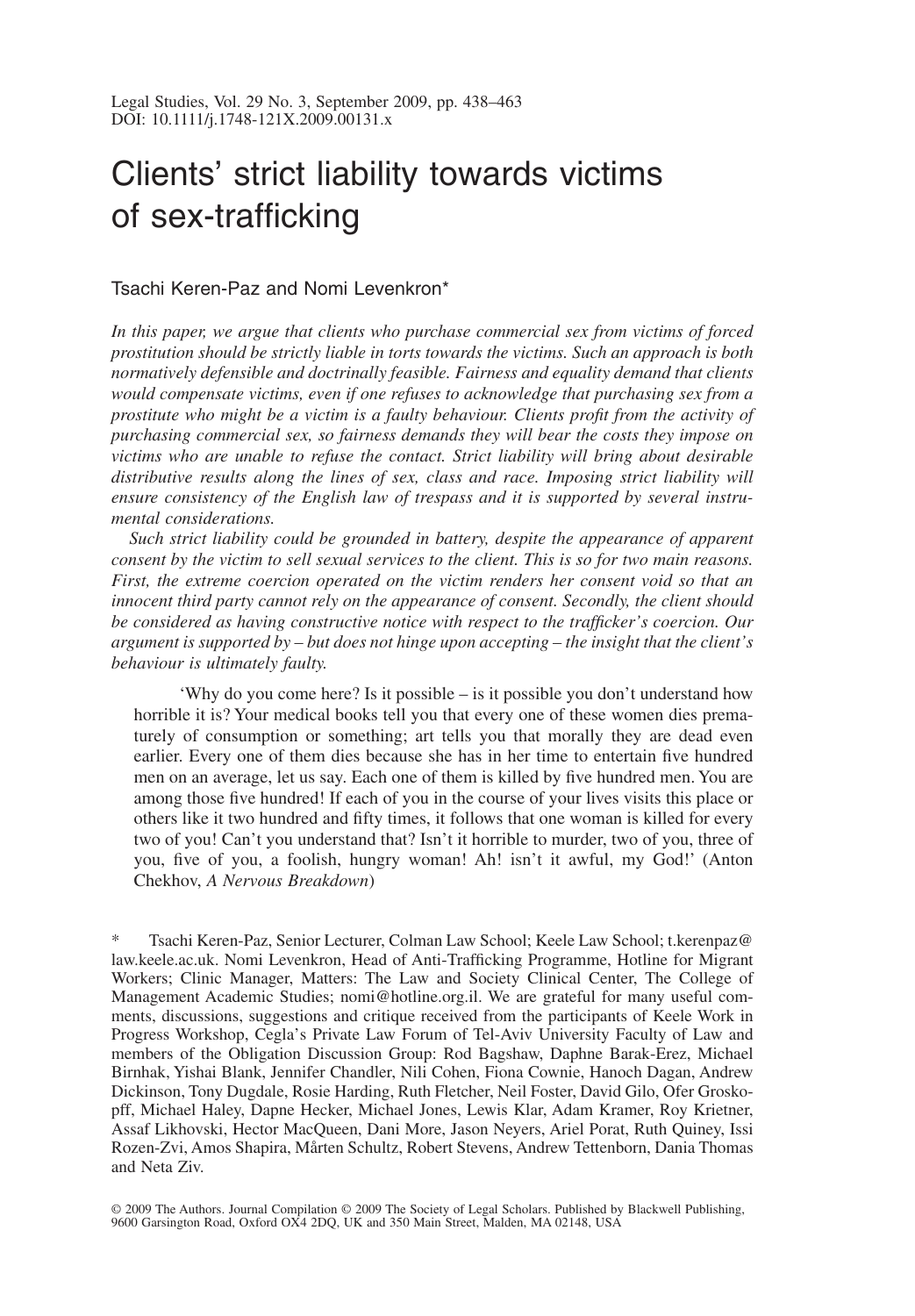# Clients' strict liability towards victims of sex-trafficking

# Tsachi Keren-Paz and Nomi Levenkron\*

*In this paper, we argue that clients who purchase commercial sex from victims of forced prostitution should be strictly liable in torts towards the victims. Such an approach is both normatively defensible and doctrinally feasible. Fairness and equality demand that clients would compensate victims, even if one refuses to acknowledge that purchasing sex from a prostitute who might be a victim is a faulty behaviour. Clients profit from the activity of purchasing commercial sex, so fairness demands they will bear the costs they impose on victims who are unable to refuse the contact. Strict liability will bring about desirable distributive results along the lines of sex, class and race. Imposing strict liability will ensure consistency of the English law of trespass and it is supported by several instrumental considerations.*

*Such strict liability could be grounded in battery, despite the appearance of apparent consent by the victim to sell sexual services to the client. This is so for two main reasons. First, the extreme coercion operated on the victim renders her consent void so that an innocent third party cannot rely on the appearance of consent. Secondly, the client should be considered as having constructive notice with respect to the trafficker's coercion. Our argument is supported by – but does not hinge upon accepting – the insight that the client's behaviour is ultimately faulty.*

'Why do you come here? Is it possible – is it possible you don't understand how horrible it is? Your medical books tell you that every one of these women dies prematurely of consumption or something; art tells you that morally they are dead even earlier. Every one of them dies because she has in her time to entertain five hundred men on an average, let us say. Each one of them is killed by five hundred men. You are among those five hundred! If each of you in the course of your lives visits this place or others like it two hundred and fifty times, it follows that one woman is killed for every two of you! Can't you understand that? Isn't it horrible to murder, two of you, three of you, five of you, a foolish, hungry woman! Ah! isn't it awful, my God!' (Anton Chekhov, *A Nervous Breakdown*)

Tsachi Keren-Paz, Senior Lecturer, Colman Law School; Keele Law School; t.kerenpaz@ law.keele.ac.uk. Nomi Levenkron, Head of Anti-Trafficking Programme, Hotline for Migrant Workers; Clinic Manager, Matters: The Law and Society Clinical Center, The College of Management Academic Studies; nomi@hotline.org.il. We are grateful for many useful comments, discussions, suggestions and critique received from the participants of Keele Work in Progress Workshop, Cegla's Private Law Forum of Tel-Aviv University Faculty of Law and members of the Obligation Discussion Group: Rod Bagshaw, Daphne Barak-Erez, Michael Birnhak, Yishai Blank, Jennifer Chandler, Nili Cohen, Fiona Cownie, Hanoch Dagan, Andrew Dickinson, Tony Dugdale, Rosie Harding, Ruth Fletcher, Neil Foster, David Gilo, Ofer Groskopff, Michael Haley, Dapne Hecker, Michael Jones, Lewis Klar, Adam Kramer, Roy Krietner, Assaf Likhovski, Hector MacQueen, Dani More, Jason Neyers, Ariel Porat, Ruth Quiney, Issi Rozen-Zvi, Amos Shapira, Mårten Schultz, Robert Stevens, Andrew Tettenborn, Dania Thomas and Neta Ziv.

© 2009 The Authors. Journal Compilation © 2009 The Society of Legal Scholars. Published by Blackwell Publishing, 9600 Garsington Road, Oxford OX4 2DQ, UK and 350 Main Street, Malden, MA 02148, USA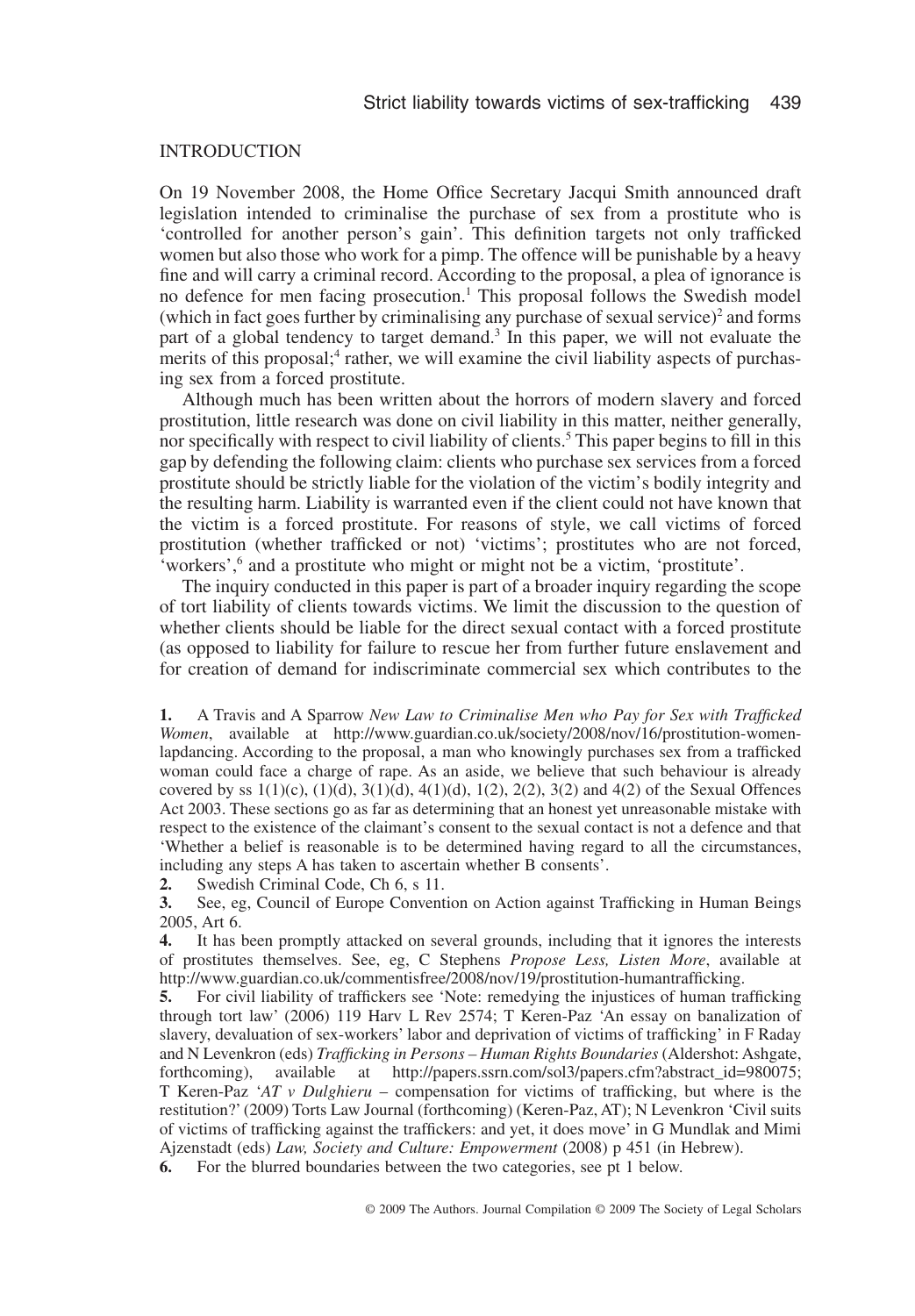#### INTRODUCTION

On 19 November 2008, the Home Office Secretary Jacqui Smith announced draft legislation intended to criminalise the purchase of sex from a prostitute who is 'controlled for another person's gain'. This definition targets not only trafficked women but also those who work for a pimp. The offence will be punishable by a heavy fine and will carry a criminal record. According to the proposal, a plea of ignorance is no defence for men facing prosecution.<sup>1</sup> This proposal follows the Swedish model (which in fact goes further by criminalising any purchase of sexual service) $2$  and forms part of a global tendency to target demand.3 In this paper, we will not evaluate the merits of this proposal; $4$  rather, we will examine the civil liability aspects of purchasing sex from a forced prostitute.

Although much has been written about the horrors of modern slavery and forced prostitution, little research was done on civil liability in this matter, neither generally, nor specifically with respect to civil liability of clients.<sup>5</sup> This paper begins to fill in this gap by defending the following claim: clients who purchase sex services from a forced prostitute should be strictly liable for the violation of the victim's bodily integrity and the resulting harm. Liability is warranted even if the client could not have known that the victim is a forced prostitute. For reasons of style, we call victims of forced prostitution (whether trafficked or not) 'victims'; prostitutes who are not forced, 'workers',6 and a prostitute who might or might not be a victim, 'prostitute'.

The inquiry conducted in this paper is part of a broader inquiry regarding the scope of tort liability of clients towards victims. We limit the discussion to the question of whether clients should be liable for the direct sexual contact with a forced prostitute (as opposed to liability for failure to rescue her from further future enslavement and for creation of demand for indiscriminate commercial sex which contributes to the

**1.** A Travis and A Sparrow *New Law to Criminalise Men who Pay for Sex with Trafficked Women*, available at http://www.guardian.co.uk/society/2008/nov/16/prostitution-womenlapdancing. According to the proposal, a man who knowingly purchases sex from a trafficked woman could face a charge of rape. As an aside, we believe that such behaviour is already covered by ss  $1(1)(c)$ ,  $(1)(d)$ ,  $3(1)(d)$ ,  $4(1)(d)$ ,  $1(2)$ ,  $2(2)$ ,  $3(2)$  and  $4(2)$  of the Sexual Offences Act 2003. These sections go as far as determining that an honest yet unreasonable mistake with respect to the existence of the claimant's consent to the sexual contact is not a defence and that 'Whether a belief is reasonable is to be determined having regard to all the circumstances, including any steps A has taken to ascertain whether B consents'.

**2.** Swedish Criminal Code, Ch 6, s 11.

**3.** See, eg, Council of Europe Convention on Action against Trafficking in Human Beings 2005, Art 6.

**4.** It has been promptly attacked on several grounds, including that it ignores the interests of prostitutes themselves. See, eg, C Stephens *Propose Less, Listen More*, available at http://www.guardian.co.uk/commentisfree/2008/nov/19/prostitution-humantrafficking.

**5.** For civil liability of traffickers see 'Note: remedying the injustices of human trafficking through tort law' (2006) 119 Harv L Rev 2574; T Keren-Paz 'An essay on banalization of slavery, devaluation of sex-workers' labor and deprivation of victims of trafficking' in F Raday and N Levenkron (eds) *Trafficking in Persons – Human Rights Boundaries* (Aldershot: Ashgate, forthcoming), available at http://papers.ssrn.com/sol3/papers.cfm?abstract\_id=980075; T Keren-Paz '*AT v Dulghieru* – compensation for victims of trafficking, but where is the restitution?' (2009) Torts Law Journal (forthcoming) (Keren-Paz, AT); N Levenkron 'Civil suits of victims of trafficking against the traffickers: and yet, it does move' in G Mundlak and Mimi Ajzenstadt (eds) *Law, Society and Culture: Empowerment* (2008) p 451 (in Hebrew).

**6.** For the blurred boundaries between the two categories, see pt 1 below.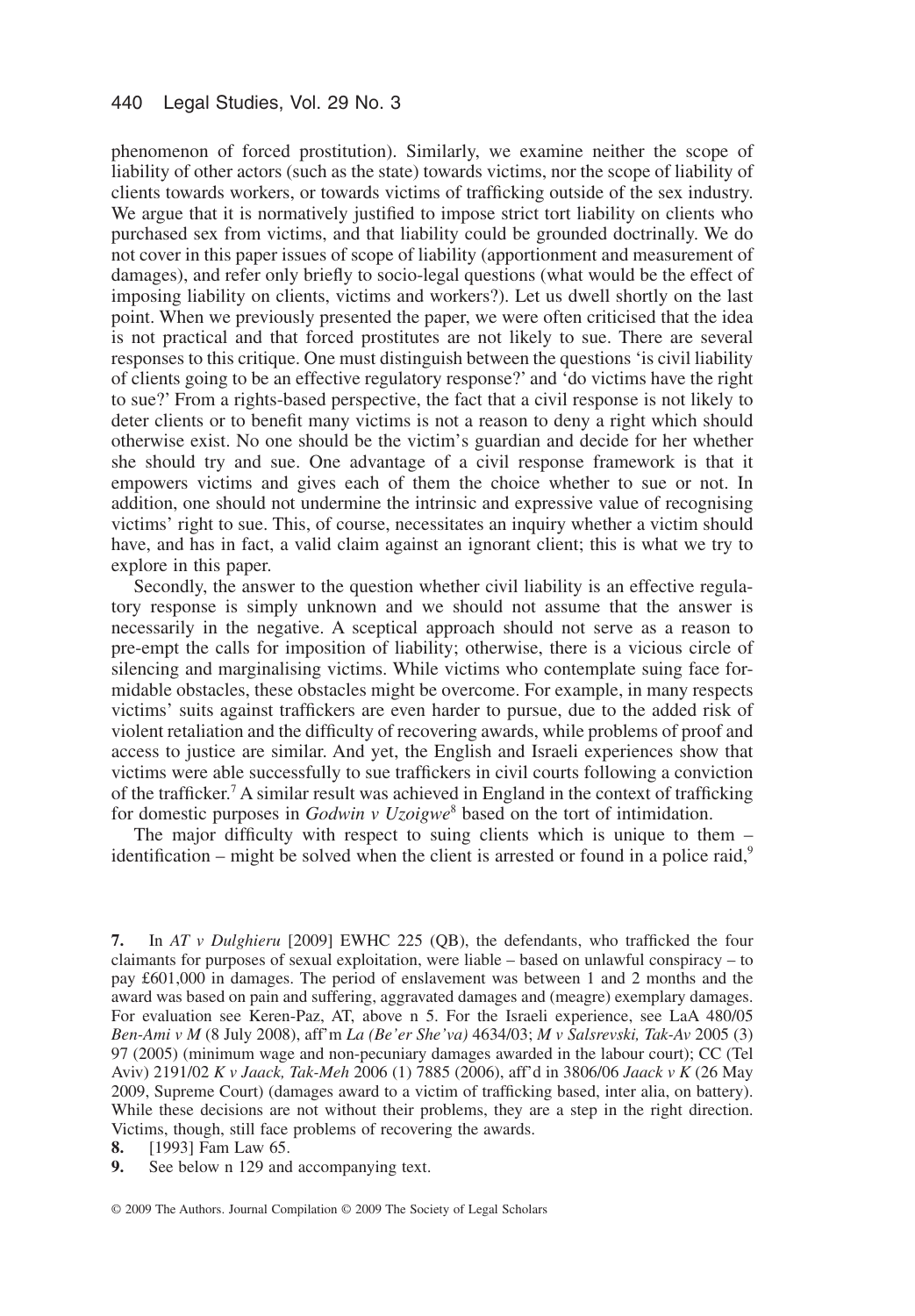phenomenon of forced prostitution). Similarly, we examine neither the scope of liability of other actors (such as the state) towards victims, nor the scope of liability of clients towards workers, or towards victims of trafficking outside of the sex industry. We argue that it is normatively justified to impose strict tort liability on clients who purchased sex from victims, and that liability could be grounded doctrinally. We do not cover in this paper issues of scope of liability (apportionment and measurement of damages), and refer only briefly to socio-legal questions (what would be the effect of imposing liability on clients, victims and workers?). Let us dwell shortly on the last point. When we previously presented the paper, we were often criticised that the idea is not practical and that forced prostitutes are not likely to sue. There are several responses to this critique. One must distinguish between the questions 'is civil liability of clients going to be an effective regulatory response?' and 'do victims have the right to sue?' From a rights-based perspective, the fact that a civil response is not likely to deter clients or to benefit many victims is not a reason to deny a right which should otherwise exist. No one should be the victim's guardian and decide for her whether she should try and sue. One advantage of a civil response framework is that it empowers victims and gives each of them the choice whether to sue or not. In addition, one should not undermine the intrinsic and expressive value of recognising victims' right to sue. This, of course, necessitates an inquiry whether a victim should have, and has in fact, a valid claim against an ignorant client; this is what we try to explore in this paper.

Secondly, the answer to the question whether civil liability is an effective regulatory response is simply unknown and we should not assume that the answer is necessarily in the negative. A sceptical approach should not serve as a reason to pre-empt the calls for imposition of liability; otherwise, there is a vicious circle of silencing and marginalising victims. While victims who contemplate suing face formidable obstacles, these obstacles might be overcome. For example, in many respects victims' suits against traffickers are even harder to pursue, due to the added risk of violent retaliation and the difficulty of recovering awards, while problems of proof and access to justice are similar. And yet, the English and Israeli experiences show that victims were able successfully to sue traffickers in civil courts following a conviction of the trafficker.7 A similar result was achieved in England in the context of trafficking for domestic purposes in *Godwin v Uzoigwe*<sup>8</sup> based on the tort of intimidation.

The major difficulty with respect to suing clients which is unique to them – identification – might be solved when the client is arrested or found in a police raid, $9$ 

**<sup>7.</sup>** In *AT v Dulghieru* [2009] EWHC 225 (QB), the defendants, who trafficked the four claimants for purposes of sexual exploitation, were liable – based on unlawful conspiracy – to pay £601,000 in damages. The period of enslavement was between 1 and 2 months and the award was based on pain and suffering, aggravated damages and (meagre) exemplary damages. For evaluation see Keren-Paz, AT, above n 5. For the Israeli experience, see LaA 480/05 *Ben-Ami v M* (8 July 2008), aff'm *La (Be'er She'va)* 4634/03; *M v Salsrevski, Tak-Av* 2005 (3) 97 (2005) (minimum wage and non-pecuniary damages awarded in the labour court); CC (Tel Aviv) 2191/02 *K v Jaack, Tak-Meh* 2006 (1) 7885 (2006), aff'd in 3806/06 *Jaack v K* (26 May 2009, Supreme Court) (damages award to a victim of trafficking based, inter alia, on battery). While these decisions are not without their problems, they are a step in the right direction. Victims, though, still face problems of recovering the awards.

**<sup>8.</sup>** [1993] Fam Law 65.<br>**9.** See below n 129 and

See below n 129 and accompanying text.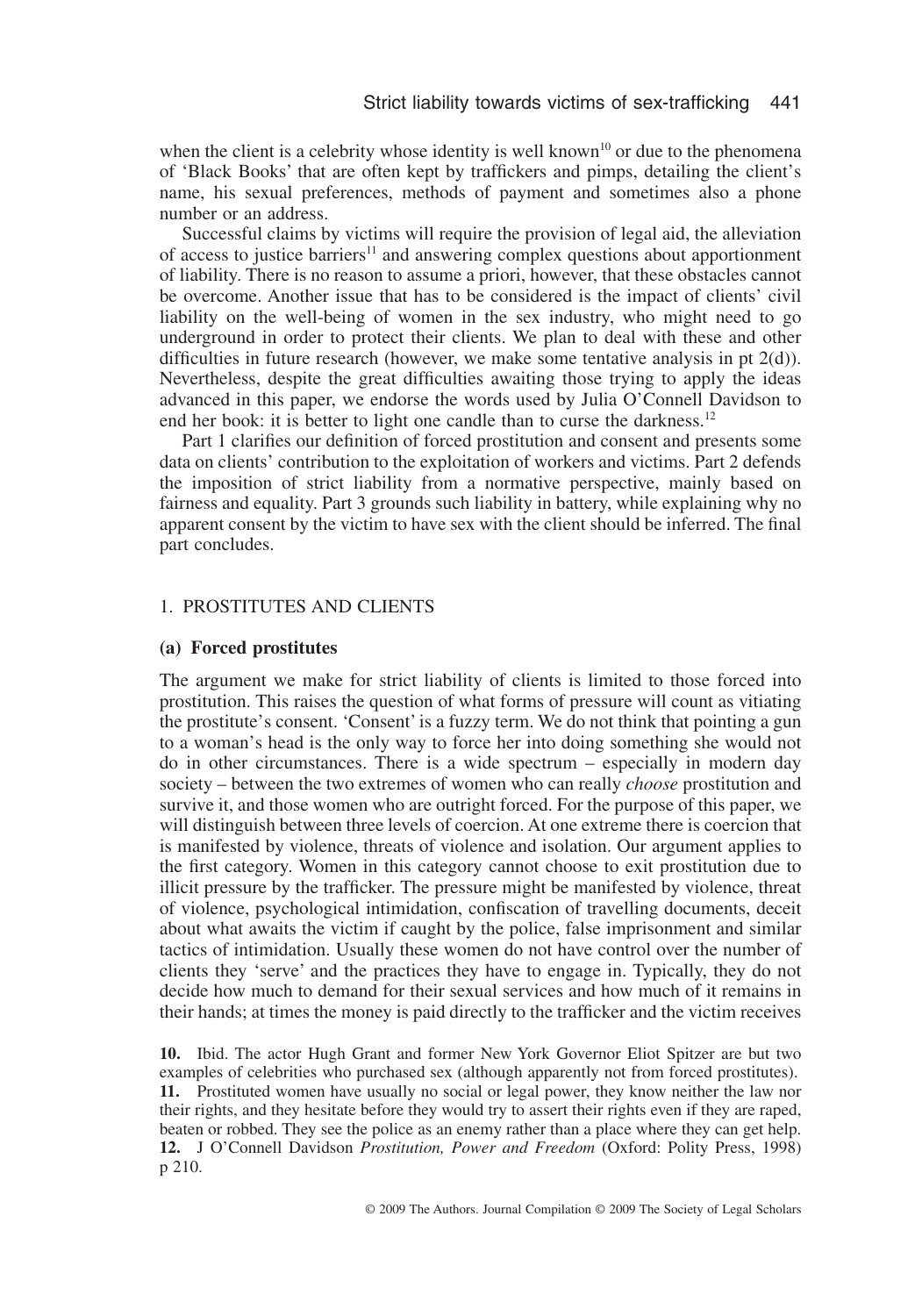when the client is a celebrity whose identity is well known<sup>10</sup> or due to the phenomena of 'Black Books' that are often kept by traffickers and pimps, detailing the client's name, his sexual preferences, methods of payment and sometimes also a phone number or an address.

Successful claims by victims will require the provision of legal aid, the alleviation of access to justice barriers<sup>11</sup> and answering complex questions about apportionment of liability. There is no reason to assume a priori, however, that these obstacles cannot be overcome. Another issue that has to be considered is the impact of clients' civil liability on the well-being of women in the sex industry, who might need to go underground in order to protect their clients. We plan to deal with these and other difficulties in future research (however, we make some tentative analysis in pt 2(d)). Nevertheless, despite the great difficulties awaiting those trying to apply the ideas advanced in this paper, we endorse the words used by Julia O'Connell Davidson to end her book: it is better to light one candle than to curse the darkness.<sup>12</sup>

Part 1 clarifies our definition of forced prostitution and consent and presents some data on clients' contribution to the exploitation of workers and victims. Part 2 defends the imposition of strict liability from a normative perspective, mainly based on fairness and equality. Part 3 grounds such liability in battery, while explaining why no apparent consent by the victim to have sex with the client should be inferred. The final part concludes.

# 1. PROSTITUTES AND CLIENTS

#### **(a) Forced prostitutes**

The argument we make for strict liability of clients is limited to those forced into prostitution. This raises the question of what forms of pressure will count as vitiating the prostitute's consent. 'Consent' is a fuzzy term. We do not think that pointing a gun to a woman's head is the only way to force her into doing something she would not do in other circumstances. There is a wide spectrum – especially in modern day society – between the two extremes of women who can really *choose* prostitution and survive it, and those women who are outright forced. For the purpose of this paper, we will distinguish between three levels of coercion. At one extreme there is coercion that is manifested by violence, threats of violence and isolation. Our argument applies to the first category. Women in this category cannot choose to exit prostitution due to illicit pressure by the trafficker. The pressure might be manifested by violence, threat of violence, psychological intimidation, confiscation of travelling documents, deceit about what awaits the victim if caught by the police, false imprisonment and similar tactics of intimidation. Usually these women do not have control over the number of clients they 'serve' and the practices they have to engage in. Typically, they do not decide how much to demand for their sexual services and how much of it remains in their hands; at times the money is paid directly to the trafficker and the victim receives

**10.** Ibid. The actor Hugh Grant and former New York Governor Eliot Spitzer are but two examples of celebrities who purchased sex (although apparently not from forced prostitutes). **11.** Prostituted women have usually no social or legal power, they know neither the law nor their rights, and they hesitate before they would try to assert their rights even if they are raped, beaten or robbed. They see the police as an enemy rather than a place where they can get help. **12.** J O'Connell Davidson *Prostitution, Power and Freedom* (Oxford: Polity Press, 1998) p 210.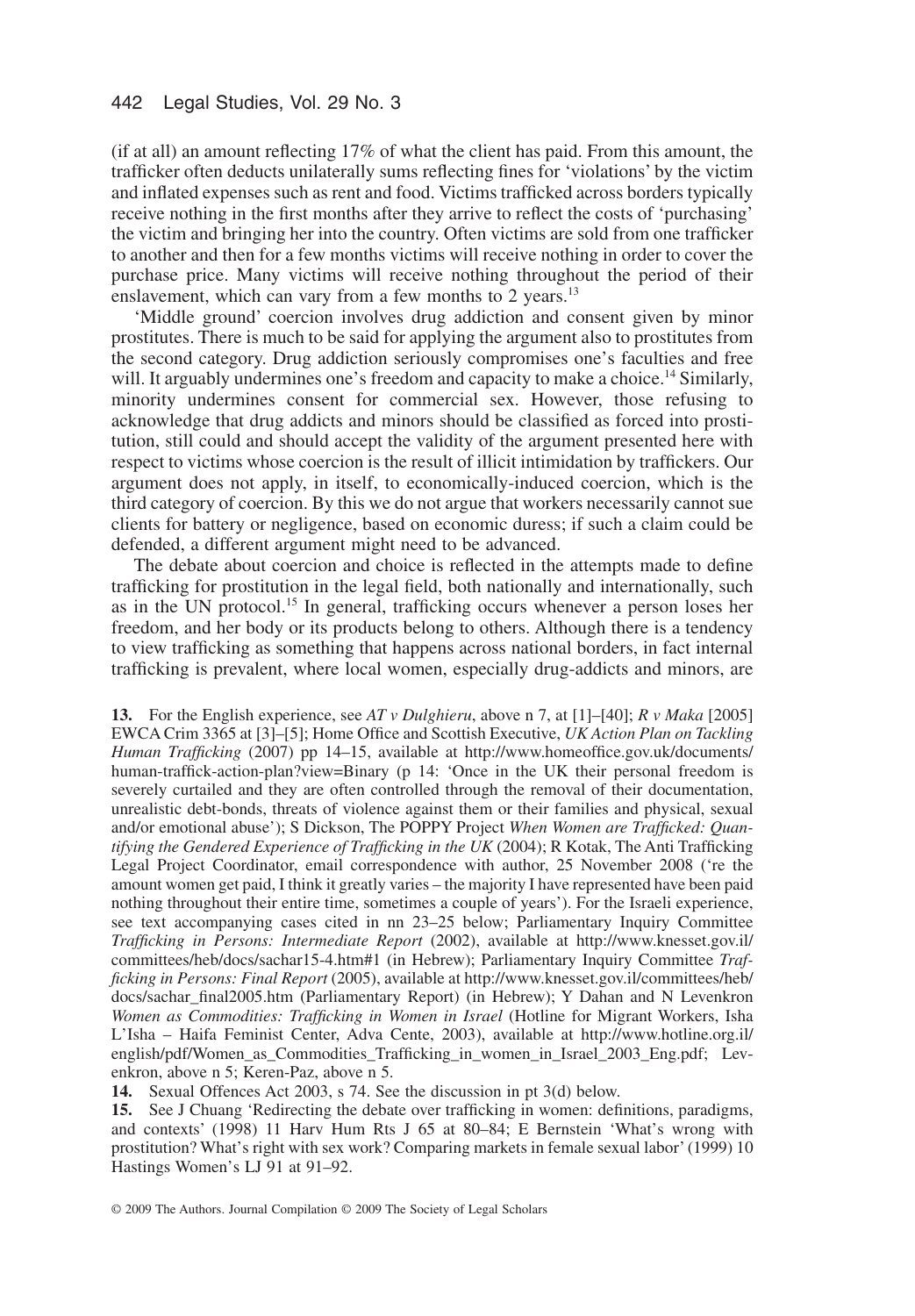(if at all) an amount reflecting 17% of what the client has paid. From this amount, the trafficker often deducts unilaterally sums reflecting fines for 'violations' by the victim and inflated expenses such as rent and food. Victims trafficked across borders typically receive nothing in the first months after they arrive to reflect the costs of 'purchasing' the victim and bringing her into the country. Often victims are sold from one trafficker to another and then for a few months victims will receive nothing in order to cover the purchase price. Many victims will receive nothing throughout the period of their enslavement, which can vary from a few months to 2 years.<sup>13</sup>

'Middle ground' coercion involves drug addiction and consent given by minor prostitutes. There is much to be said for applying the argument also to prostitutes from the second category. Drug addiction seriously compromises one's faculties and free will. It arguably undermines one's freedom and capacity to make a choice.<sup>14</sup> Similarly, minority undermines consent for commercial sex. However, those refusing to acknowledge that drug addicts and minors should be classified as forced into prostitution, still could and should accept the validity of the argument presented here with respect to victims whose coercion is the result of illicit intimidation by traffickers. Our argument does not apply, in itself, to economically-induced coercion, which is the third category of coercion. By this we do not argue that workers necessarily cannot sue clients for battery or negligence, based on economic duress; if such a claim could be defended, a different argument might need to be advanced.

The debate about coercion and choice is reflected in the attempts made to define trafficking for prostitution in the legal field, both nationally and internationally, such as in the UN protocol.15 In general, trafficking occurs whenever a person loses her freedom, and her body or its products belong to others. Although there is a tendency to view trafficking as something that happens across national borders, in fact internal trafficking is prevalent, where local women, especially drug-addicts and minors, are

**13.** For the English experience, see *AT v Dulghieru*, above n 7, at [1]–[40]; *R v Maka* [2005] EWCA Crim 3365 at [3]–[5]; Home Office and Scottish Executive, *UK Action Plan on Tackling Human Trafficking* (2007) pp 14–15, available at http://www.homeoffice.gov.uk/documents/ human-traffick-action-plan?view=Binary (p 14: 'Once in the UK their personal freedom is severely curtailed and they are often controlled through the removal of their documentation, unrealistic debt-bonds, threats of violence against them or their families and physical, sexual and/or emotional abuse'); S Dickson, The POPPY Project *When Women are Trafficked: Quantifying the Gendered Experience of Trafficking in the UK* (2004); R Kotak, The Anti Trafficking Legal Project Coordinator, email correspondence with author, 25 November 2008 ('re the amount women get paid, I think it greatly varies – the majority I have represented have been paid nothing throughout their entire time, sometimes a couple of years'). For the Israeli experience, see text accompanying cases cited in nn 23–25 below; Parliamentary Inquiry Committee *Trafficking in Persons: Intermediate Report* (2002), available at http://www.knesset.gov.il/ committees/heb/docs/sachar15-4.htm#1 (in Hebrew); Parliamentary Inquiry Committee *Trafficking in Persons: Final Report* (2005), available at http://www.knesset.gov.il/committees/heb/ docs/sachar\_final2005.htm (Parliamentary Report) (in Hebrew); Y Dahan and N Levenkron *Women as Commodities: Trafficking in Women in Israel* (Hotline for Migrant Workers, Isha L'Isha – Haifa Feminist Center, Adva Cente, 2003), available at http://www.hotline.org.il/ english/pdf/Women\_as\_Commodities\_Trafficking\_in\_women\_in\_Israel\_2003\_Eng.pdf; Levenkron, above n 5; Keren-Paz, above n 5.

**14.** Sexual Offences Act 2003, s 74. See the discussion in pt 3(d) below.

**15.** See J Chuang 'Redirecting the debate over trafficking in women: definitions, paradigms, and contexts' (1998) 11 Harv Hum Rts J 65 at 80–84; E Bernstein 'What's wrong with prostitution? What's right with sex work? Comparing markets in female sexual labor' (1999) 10 Hastings Women's LJ 91 at 91–92.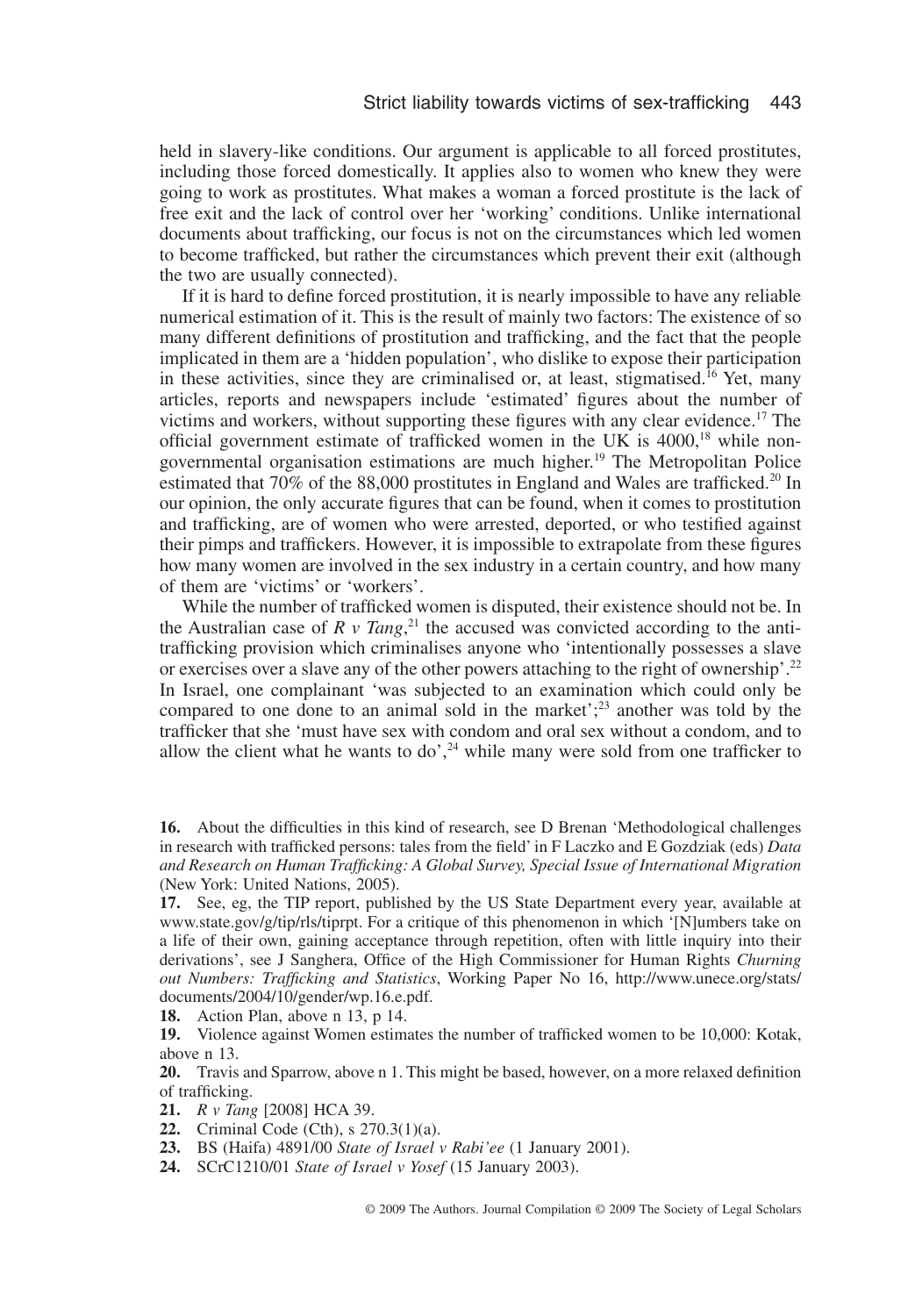held in slavery-like conditions. Our argument is applicable to all forced prostitutes, including those forced domestically. It applies also to women who knew they were going to work as prostitutes. What makes a woman a forced prostitute is the lack of free exit and the lack of control over her 'working' conditions. Unlike international documents about trafficking, our focus is not on the circumstances which led women to become trafficked, but rather the circumstances which prevent their exit (although the two are usually connected).

If it is hard to define forced prostitution, it is nearly impossible to have any reliable numerical estimation of it. This is the result of mainly two factors: The existence of so many different definitions of prostitution and trafficking, and the fact that the people implicated in them are a 'hidden population', who dislike to expose their participation in these activities, since they are criminalised or, at least, stigmatised.<sup>16</sup> Yet, many articles, reports and newspapers include 'estimated' figures about the number of victims and workers, without supporting these figures with any clear evidence.17 The official government estimate of trafficked women in the UK is  $4000$ ,<sup>18</sup> while nongovernmental organisation estimations are much higher.19 The Metropolitan Police estimated that 70% of the 88,000 prostitutes in England and Wales are trafficked.<sup>20</sup> In our opinion, the only accurate figures that can be found, when it comes to prostitution and trafficking, are of women who were arrested, deported, or who testified against their pimps and traffickers. However, it is impossible to extrapolate from these figures how many women are involved in the sex industry in a certain country, and how many of them are 'victims' or 'workers'.

While the number of trafficked women is disputed, their existence should not be. In the Australian case of  $R \, v$  Tang,<sup>21</sup> the accused was convicted according to the antitrafficking provision which criminalises anyone who 'intentionally possesses a slave or exercises over a slave any of the other powers attaching to the right of ownership'.22 In Israel, one complainant 'was subjected to an examination which could only be compared to one done to an animal sold in the market';<sup>23</sup> another was told by the trafficker that she 'must have sex with condom and oral sex without a condom, and to allow the client what he wants to do',  $24$  while many were sold from one trafficker to

**18.** Action Plan, above n 13, p 14.

**19.** Violence against Women estimates the number of trafficked women to be 10,000: Kotak, above n 13.

**20.** Travis and Sparrow, above n 1. This might be based, however, on a more relaxed definition of trafficking.

- **21.** *R v Tang* [2008] HCA 39.
- **22.** Criminal Code (Cth), s 270.3(1)(a).
- **23.** BS (Haifa) 4891/00 *State of Israel v Rabi'ee* (1 January 2001).
- **24.** SCrC1210/01 *State of Israel v Yosef* (15 January 2003).

**<sup>16.</sup>** About the difficulties in this kind of research, see D Brenan 'Methodological challenges in research with trafficked persons: tales from the field' in F Laczko and E Gozdziak (eds) *Data and Research on Human Trafficking: A Global Survey, Special Issue of International Migration* (New York: United Nations, 2005).

**<sup>17.</sup>** See, eg, the TIP report, published by the US State Department every year, available at www.state.gov/g/tip/rls/tiprpt. For a critique of this phenomenon in which '[N]umbers take on a life of their own, gaining acceptance through repetition, often with little inquiry into their derivations', see J Sanghera, Office of the High Commissioner for Human Rights *Churning out Numbers: Trafficking and Statistics*, Working Paper No 16, http://www.unece.org/stats/ documents/2004/10/gender/wp.16.e.pdf.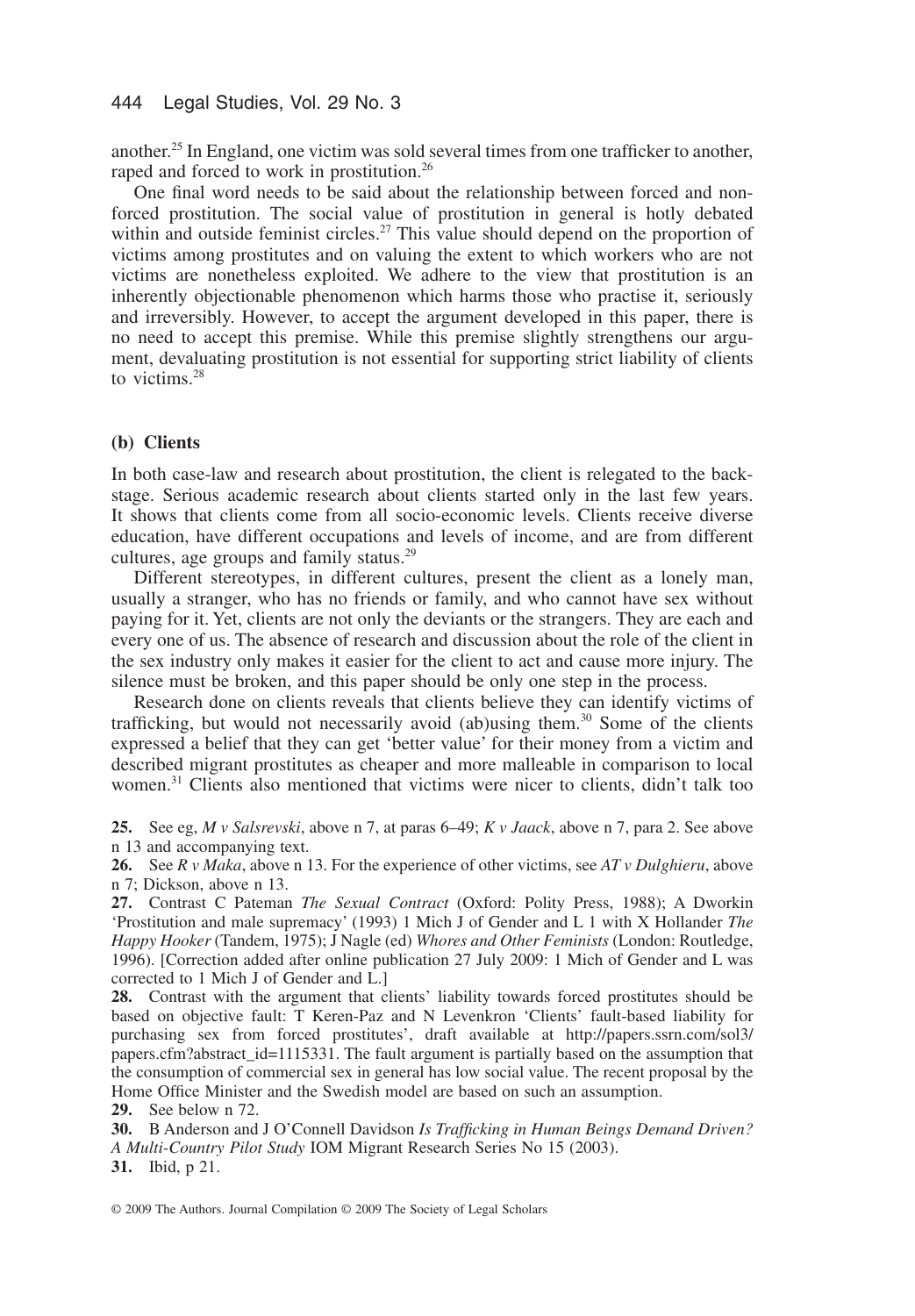another.<sup>25</sup> In England, one victim was sold several times from one trafficker to another, raped and forced to work in prostitution.26

One final word needs to be said about the relationship between forced and nonforced prostitution. The social value of prostitution in general is hotly debated within and outside feminist circles.<sup>27</sup> This value should depend on the proportion of victims among prostitutes and on valuing the extent to which workers who are not victims are nonetheless exploited. We adhere to the view that prostitution is an inherently objectionable phenomenon which harms those who practise it, seriously and irreversibly. However, to accept the argument developed in this paper, there is no need to accept this premise. While this premise slightly strengthens our argument, devaluating prostitution is not essential for supporting strict liability of clients to victims.28

#### **(b) Clients**

In both case-law and research about prostitution, the client is relegated to the backstage. Serious academic research about clients started only in the last few years. It shows that clients come from all socio-economic levels. Clients receive diverse education, have different occupations and levels of income, and are from different cultures, age groups and family status.<sup>29</sup>

Different stereotypes, in different cultures, present the client as a lonely man, usually a stranger, who has no friends or family, and who cannot have sex without paying for it. Yet, clients are not only the deviants or the strangers. They are each and every one of us. The absence of research and discussion about the role of the client in the sex industry only makes it easier for the client to act and cause more injury. The silence must be broken, and this paper should be only one step in the process.

Research done on clients reveals that clients believe they can identify victims of trafficking, but would not necessarily avoid (ab)using them.30 Some of the clients expressed a belief that they can get 'better value' for their money from a victim and described migrant prostitutes as cheaper and more malleable in comparison to local women.<sup>31</sup> Clients also mentioned that victims were nicer to clients, didn't talk too

**25.** See eg, *M v Salsrevski*, above n 7, at paras 6–49; *K v Jaack*, above n 7, para 2. See above n 13 and accompanying text.

**26.** See *R v Maka*, above n 13. For the experience of other victims, see *AT v Dulghieru*, above n 7; Dickson, above n 13.

**27.** Contrast C Pateman *The Sexual Contract* (Oxford: Polity Press, 1988); A Dworkin 'Prostitution and male supremacy' (1993) 1 Mich J of Gender and L 1 with X Hollander *The Happy Hooker* (Tandem, 1975); J Nagle (ed) *Whores and Other Feminists* (London: Routledge, 1996). [Correction added after online publication 27 July 2009: 1 Mich of Gender and L was corrected to 1 Mich J of Gender and L.]

**28.** Contrast with the argument that clients' liability towards forced prostitutes should be based on objective fault: T Keren-Paz and N Levenkron 'Clients' fault-based liability for purchasing sex from forced prostitutes', draft available at http://papers.ssrn.com/sol3/ papers.cfm?abstract\_id=1115331. The fault argument is partially based on the assumption that the consumption of commercial sex in general has low social value. The recent proposal by the Home Office Minister and the Swedish model are based on such an assumption.

**29.** See below n 72.

**30.** B Anderson and J O'Connell Davidson *Is Trafficking in Human Beings Demand Driven? A Multi-Country Pilot Study* IOM Migrant Research Series No 15 (2003). **31.** Ibid, p 21.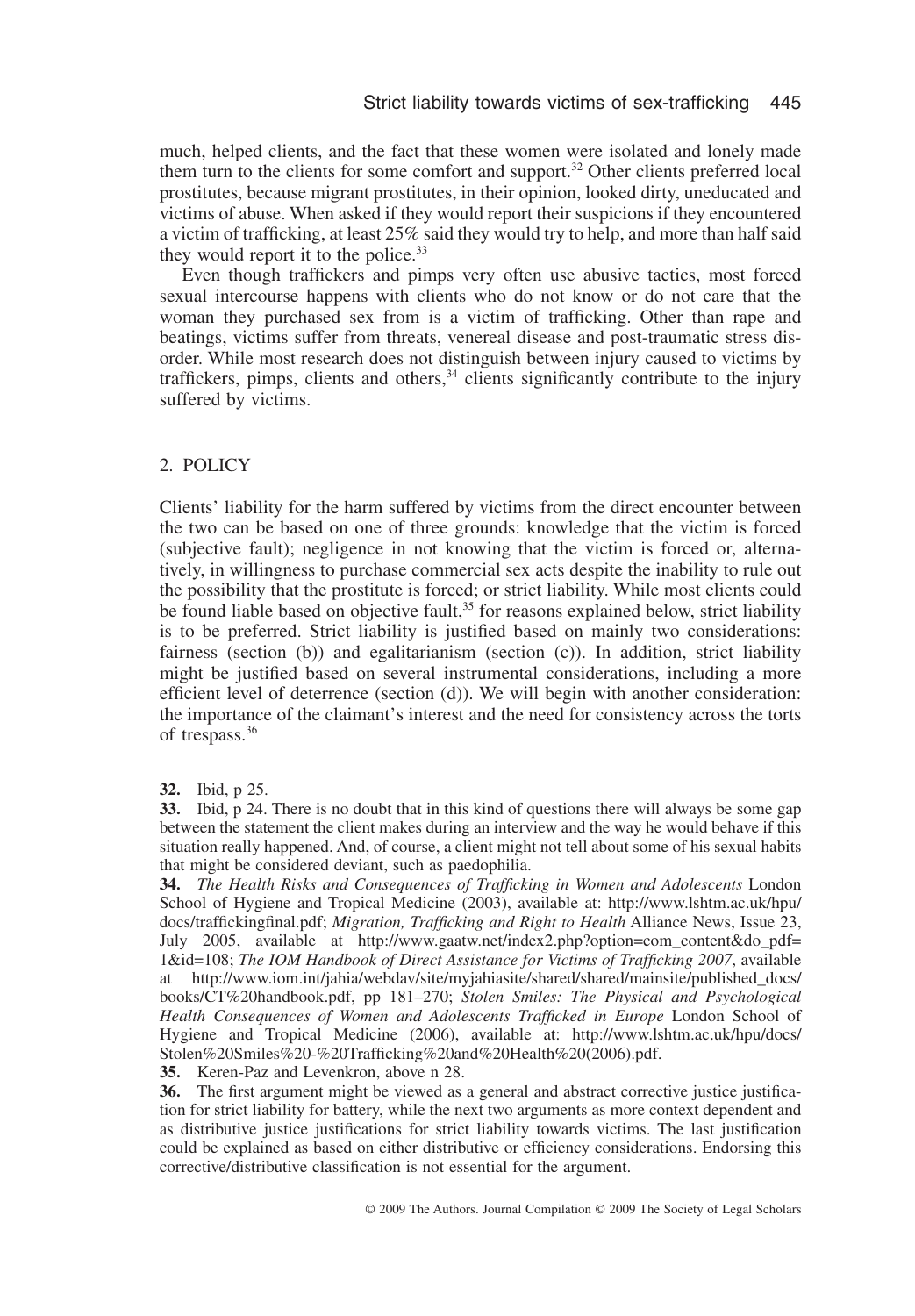much, helped clients, and the fact that these women were isolated and lonely made them turn to the clients for some comfort and support.<sup>32</sup> Other clients preferred local prostitutes, because migrant prostitutes, in their opinion, looked dirty, uneducated and victims of abuse. When asked if they would report their suspicions if they encountered a victim of trafficking, at least 25% said they would try to help, and more than half said they would report it to the police.<sup>33</sup>

Even though traffickers and pimps very often use abusive tactics, most forced sexual intercourse happens with clients who do not know or do not care that the woman they purchased sex from is a victim of trafficking. Other than rape and beatings, victims suffer from threats, venereal disease and post-traumatic stress disorder. While most research does not distinguish between injury caused to victims by traffickers, pimps, clients and others,<sup>34</sup> clients significantly contribute to the injury suffered by victims.

# 2. POLICY

Clients' liability for the harm suffered by victims from the direct encounter between the two can be based on one of three grounds: knowledge that the victim is forced (subjective fault); negligence in not knowing that the victim is forced or, alternatively, in willingness to purchase commercial sex acts despite the inability to rule out the possibility that the prostitute is forced; or strict liability. While most clients could be found liable based on objective fault, $35$  for reasons explained below, strict liability is to be preferred. Strict liability is justified based on mainly two considerations: fairness (section (b)) and egalitarianism (section (c)). In addition, strict liability might be justified based on several instrumental considerations, including a more efficient level of deterrence (section (d)). We will begin with another consideration: the importance of the claimant's interest and the need for consistency across the torts of trespass.36

**32.** Ibid, p 25.

**34.** *The Health Risks and Consequences of Trafficking in Women and Adolescents* London School of Hygiene and Tropical Medicine (2003), available at: http://www.lshtm.ac.uk/hpu/ docs/traffickingfinal.pdf; *Migration, Trafficking and Right to Health* Alliance News, Issue 23, July 2005, available at http://www.gaatw.net/index2.php?option=com\_content&do\_pdf= 1&id=108; *The IOM Handbook of Direct Assistance for Victims of Trafficking 2007*, available at http://www.iom.int/jahia/webdav/site/myjahiasite/shared/shared/mainsite/published\_docs/ books/CT%20handbook.pdf, pp 181–270; *Stolen Smiles: The Physical and Psychological Health Consequences of Women and Adolescents Trafficked in Europe* London School of Hygiene and Tropical Medicine (2006), available at: http://www.lshtm.ac.uk/hpu/docs/ Stolen%20Smiles%20-%20Trafficking%20and%20Health%20(2006).pdf.

**35.** Keren-Paz and Levenkron, above n 28.

**36.** The first argument might be viewed as a general and abstract corrective justice justification for strict liability for battery, while the next two arguments as more context dependent and as distributive justice justifications for strict liability towards victims. The last justification could be explained as based on either distributive or efficiency considerations. Endorsing this corrective/distributive classification is not essential for the argument.

**<sup>33.</sup>** Ibid, p 24. There is no doubt that in this kind of questions there will always be some gap between the statement the client makes during an interview and the way he would behave if this situation really happened. And, of course, a client might not tell about some of his sexual habits that might be considered deviant, such as paedophilia.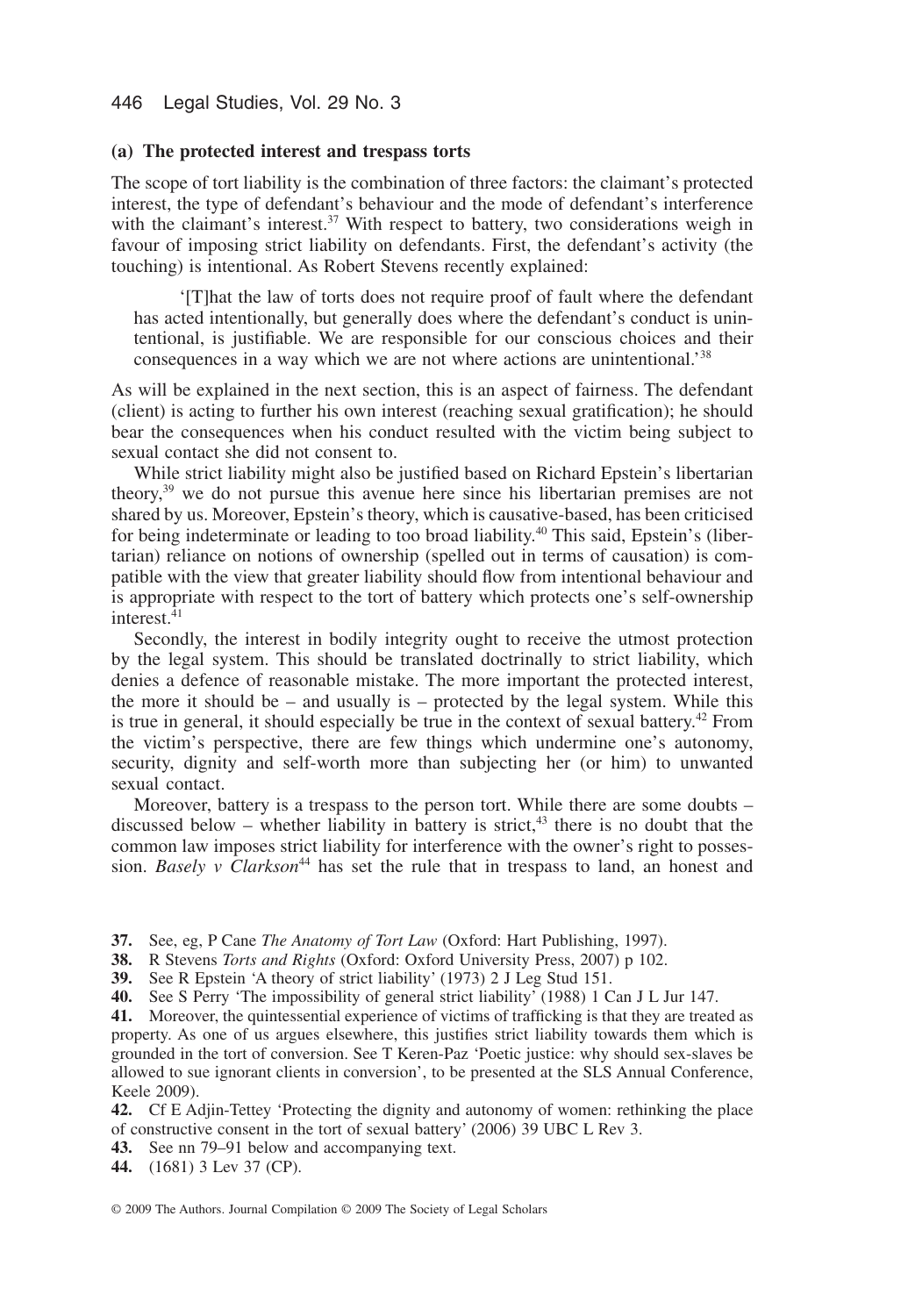#### **(a) The protected interest and trespass torts**

The scope of tort liability is the combination of three factors: the claimant's protected interest, the type of defendant's behaviour and the mode of defendant's interference with the claimant's interest.<sup>37</sup> With respect to battery, two considerations weigh in favour of imposing strict liability on defendants. First, the defendant's activity (the touching) is intentional. As Robert Stevens recently explained:

'[T]hat the law of torts does not require proof of fault where the defendant has acted intentionally, but generally does where the defendant's conduct is unintentional, is justifiable. We are responsible for our conscious choices and their consequences in a way which we are not where actions are unintentional.'38

As will be explained in the next section, this is an aspect of fairness. The defendant (client) is acting to further his own interest (reaching sexual gratification); he should bear the consequences when his conduct resulted with the victim being subject to sexual contact she did not consent to.

While strict liability might also be justified based on Richard Epstein's libertarian theory,39 we do not pursue this avenue here since his libertarian premises are not shared by us. Moreover, Epstein's theory, which is causative-based, has been criticised for being indeterminate or leading to too broad liability.<sup>40</sup> This said, Epstein's (libertarian) reliance on notions of ownership (spelled out in terms of causation) is compatible with the view that greater liability should flow from intentional behaviour and is appropriate with respect to the tort of battery which protects one's self-ownership interest $11$ 

Secondly, the interest in bodily integrity ought to receive the utmost protection by the legal system. This should be translated doctrinally to strict liability, which denies a defence of reasonable mistake. The more important the protected interest, the more it should be – and usually is – protected by the legal system. While this is true in general, it should especially be true in the context of sexual battery.<sup>42</sup> From the victim's perspective, there are few things which undermine one's autonomy, security, dignity and self-worth more than subjecting her (or him) to unwanted sexual contact.

Moreover, battery is a trespass to the person tort. While there are some doubts – discussed below – whether liability in battery is strict, $43$  there is no doubt that the common law imposes strict liability for interference with the owner's right to possession. *Basely v Clarkson*<sup>44</sup> has set the rule that in trespass to land, an honest and

**39.** See R Epstein 'A theory of strict liability' (1973) 2 J Leg Stud 151.

**40.** See S Perry 'The impossibility of general strict liability' (1988) 1 Can J L Jur 147.

**41.** Moreover, the quintessential experience of victims of trafficking is that they are treated as property. As one of us argues elsewhere, this justifies strict liability towards them which is grounded in the tort of conversion. See T Keren-Paz 'Poetic justice: why should sex-slaves be allowed to sue ignorant clients in conversion', to be presented at the SLS Annual Conference, Keele 2009).

**42.** Cf E Adjin-Tettey 'Protecting the dignity and autonomy of women: rethinking the place of constructive consent in the tort of sexual battery' (2006) 39 UBC L Rev 3.

**43.** See nn 79–91 below and accompanying text.

**44.** (1681) 3 Lev 37 (CP).

**<sup>37.</sup>** See, eg, P Cane *The Anatomy of Tort Law* (Oxford: Hart Publishing, 1997).

**<sup>38.</sup>** R Stevens *Torts and Rights* (Oxford: Oxford University Press, 2007) p 102.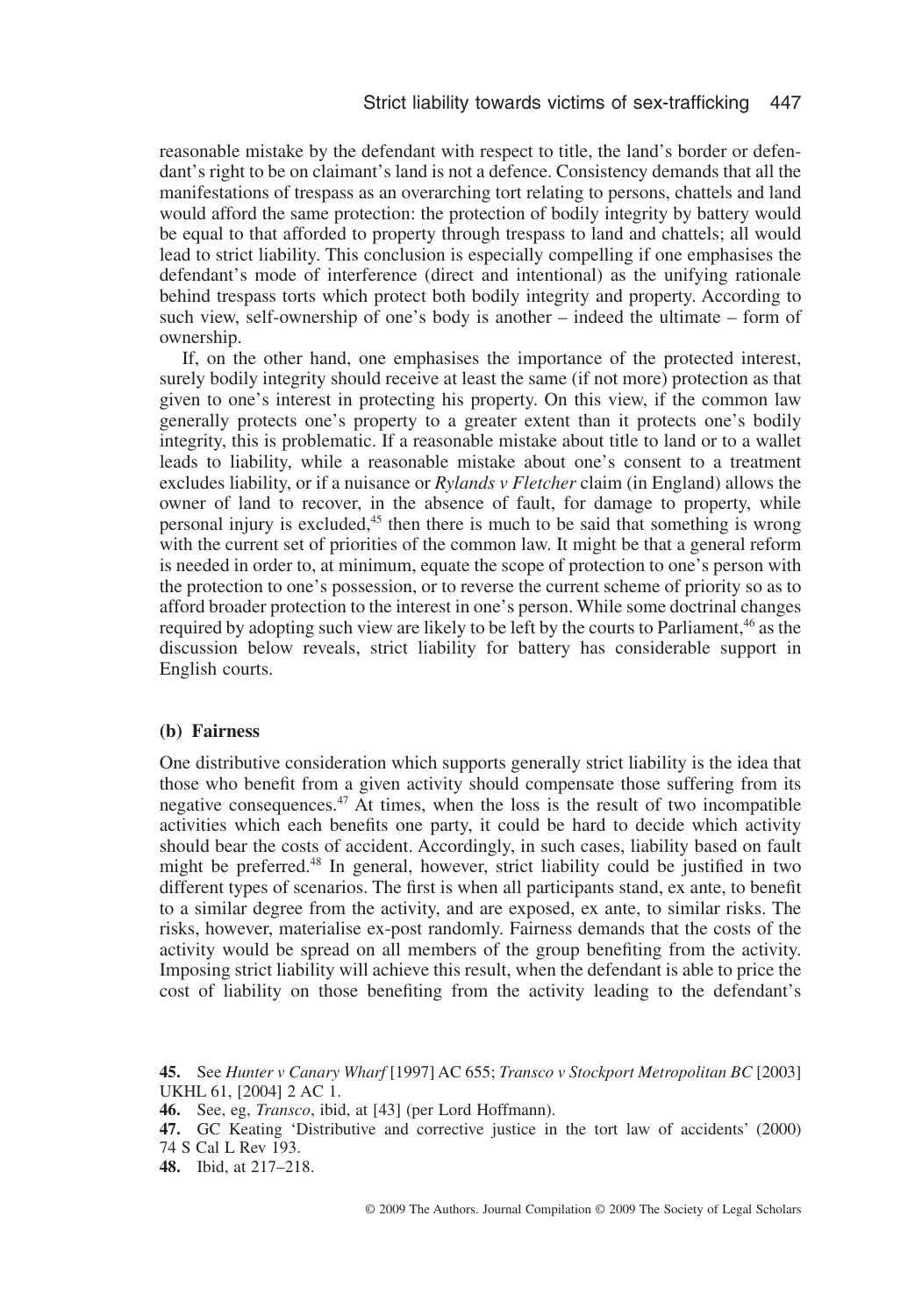reasonable mistake by the defendant with respect to title, the land's border or defendant's right to be on claimant's land is not a defence. Consistency demands that all the manifestations of trespass as an overarching tort relating to persons, chattels and land would afford the same protection: the protection of bodily integrity by battery would be equal to that afforded to property through trespass to land and chattels; all would lead to strict liability. This conclusion is especially compelling if one emphasises the defendant's mode of interference (direct and intentional) as the unifying rationale behind trespass torts which protect both bodily integrity and property. According to such view, self-ownership of one's body is another – indeed the ultimate – form of ownership.

If, on the other hand, one emphasises the importance of the protected interest, surely bodily integrity should receive at least the same (if not more) protection as that given to one's interest in protecting his property. On this view, if the common law generally protects one's property to a greater extent than it protects one's bodily integrity, this is problematic. If a reasonable mistake about title to land or to a wallet leads to liability, while a reasonable mistake about one's consent to a treatment excludes liability, or if a nuisance or *Rylands v Fletcher* claim (in England) allows the owner of land to recover, in the absence of fault, for damage to property, while personal injury is excluded, $45$  then there is much to be said that something is wrong with the current set of priorities of the common law. It might be that a general reform is needed in order to, at minimum, equate the scope of protection to one's person with the protection to one's possession, or to reverse the current scheme of priority so as to afford broader protection to the interest in one's person. While some doctrinal changes required by adopting such view are likely to be left by the courts to Parliament.<sup>46</sup> as the discussion below reveals, strict liability for battery has considerable support in English courts.

# **(b) Fairness**

One distributive consideration which supports generally strict liability is the idea that those who benefit from a given activity should compensate those suffering from its negative consequences.<sup>47</sup> At times, when the loss is the result of two incompatible activities which each benefits one party, it could be hard to decide which activity should bear the costs of accident. Accordingly, in such cases, liability based on fault might be preferred.48 In general, however, strict liability could be justified in two different types of scenarios. The first is when all participants stand, ex ante, to benefit to a similar degree from the activity, and are exposed, ex ante, to similar risks. The risks, however, materialise ex-post randomly. Fairness demands that the costs of the activity would be spread on all members of the group benefiting from the activity. Imposing strict liability will achieve this result, when the defendant is able to price the cost of liability on those benefiting from the activity leading to the defendant's

**46.** See, eg, *Transco*, ibid, at [43] (per Lord Hoffmann).

**48.** Ibid, at 217–218.

**<sup>45.</sup>** See *Hunter v Canary Wharf* [1997] AC 655; *Transco v Stockport Metropolitan BC* [2003] UKHL 61, [2004] 2 AC 1.

**<sup>47.</sup>** GC Keating 'Distributive and corrective justice in the tort law of accidents' (2000) 74 S Cal L Rev 193.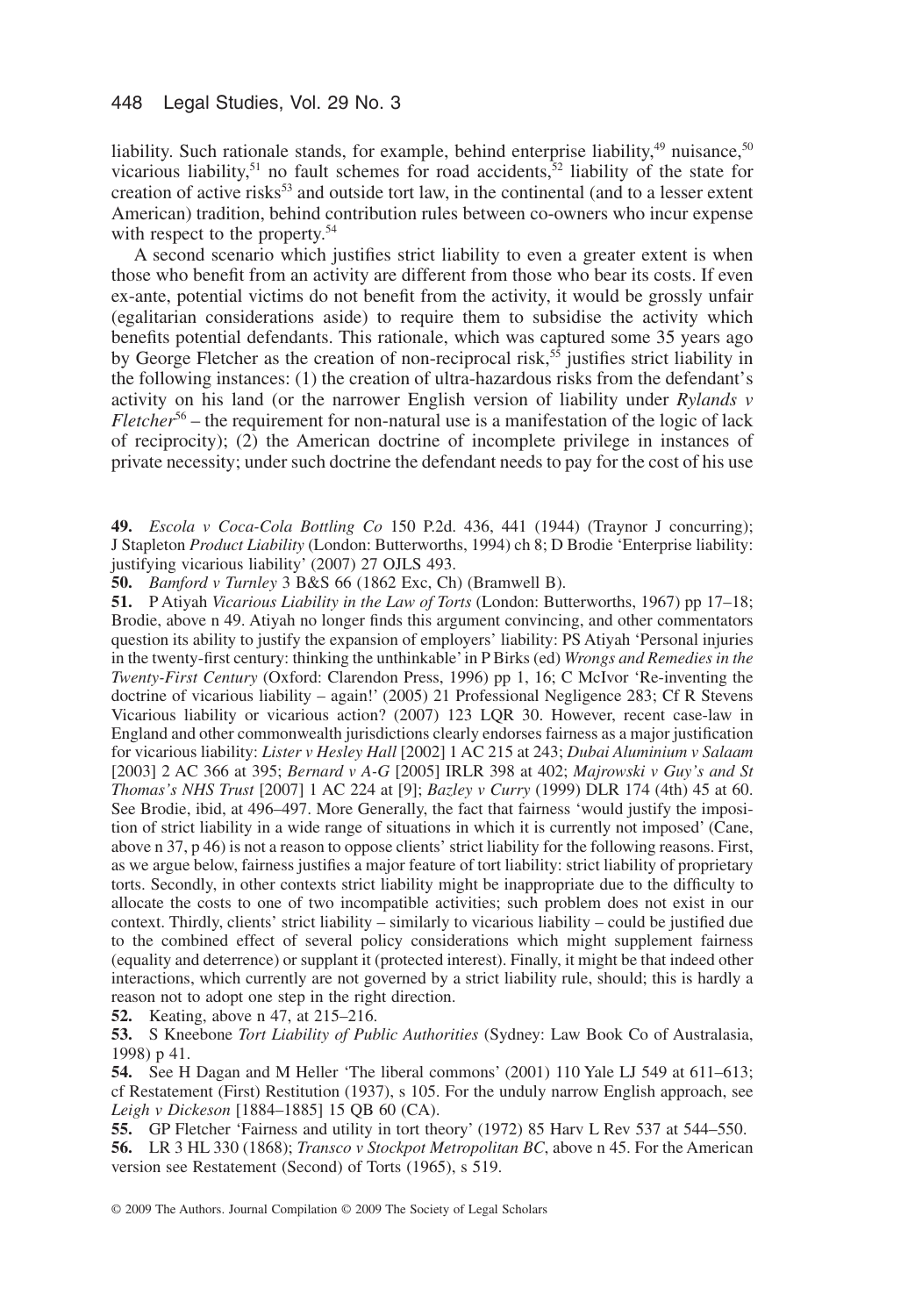liability. Such rationale stands, for example, behind enterprise liability, $49$  nuisance, $50$ vicarious liability,<sup>51</sup> no fault schemes for road accidents,<sup>52</sup> liability of the state for creation of active risks<sup>53</sup> and outside tort law, in the continental (and to a lesser extent American) tradition, behind contribution rules between co-owners who incur expense with respect to the property.<sup>54</sup>

A second scenario which justifies strict liability to even a greater extent is when those who benefit from an activity are different from those who bear its costs. If even ex-ante, potential victims do not benefit from the activity, it would be grossly unfair (egalitarian considerations aside) to require them to subsidise the activity which benefits potential defendants. This rationale, which was captured some 35 years ago by George Fletcher as the creation of non-reciprocal risk,<sup>55</sup> justifies strict liability in the following instances: (1) the creation of ultra-hazardous risks from the defendant's activity on his land (or the narrower English version of liability under *Rylands v Fletcher*<sup>56</sup> – the requirement for non-natural use is a manifestation of the logic of lack of reciprocity); (2) the American doctrine of incomplete privilege in instances of private necessity; under such doctrine the defendant needs to pay for the cost of his use

**49.** *Escola v Coca-Cola Bottling Co* 150 P.2d. 436, 441 (1944) (Traynor J concurring); J Stapleton *Product Liability* (London: Butterworths, 1994) ch 8; D Brodie 'Enterprise liability: justifying vicarious liability' (2007) 27 OJLS 493.

**50.** *Bamford v Turnley* 3 B&S 66 (1862 Exc, Ch) (Bramwell B).

**51.** P Atiyah *Vicarious Liability in the Law of Torts* (London: Butterworths, 1967) pp 17–18; Brodie, above n 49. Atiyah no longer finds this argument convincing, and other commentators question its ability to justify the expansion of employers' liability: PS Atiyah 'Personal injuries in the twenty-first century: thinking the unthinkable' in P Birks (ed) *Wrongs and Remedies in the Twenty-First Century* (Oxford: Clarendon Press, 1996) pp 1, 16; C McIvor 'Re-inventing the doctrine of vicarious liability – again!' (2005) 21 Professional Negligence 283; Cf R Stevens Vicarious liability or vicarious action? (2007) 123 LQR 30. However, recent case-law in England and other commonwealth jurisdictions clearly endorses fairness as a major justification for vicarious liability: *Lister v Hesley Hall* [2002] 1 AC 215 at 243; *Dubai Aluminium v Salaam* [2003] 2 AC 366 at 395; *Bernard v A-G* [2005] IRLR 398 at 402; *Majrowski v Guy's and St Thomas's NHS Trust* [2007] 1 AC 224 at [9]; *Bazley v Curry* (1999) DLR 174 (4th) 45 at 60. See Brodie, ibid, at 496–497. More Generally, the fact that fairness 'would justify the imposition of strict liability in a wide range of situations in which it is currently not imposed' (Cane, above n 37, p 46) is not a reason to oppose clients' strict liability for the following reasons. First, as we argue below, fairness justifies a major feature of tort liability: strict liability of proprietary torts. Secondly, in other contexts strict liability might be inappropriate due to the difficulty to allocate the costs to one of two incompatible activities; such problem does not exist in our context. Thirdly, clients' strict liability – similarly to vicarious liability – could be justified due to the combined effect of several policy considerations which might supplement fairness (equality and deterrence) or supplant it (protected interest). Finally, it might be that indeed other interactions, which currently are not governed by a strict liability rule, should; this is hardly a reason not to adopt one step in the right direction.

**52.** Keating, above n 47, at 215–216.

**53.** S Kneebone *Tort Liability of Public Authorities* (Sydney: Law Book Co of Australasia, 1998) p 41.

**54.** See H Dagan and M Heller 'The liberal commons' (2001) 110 Yale LJ 549 at 611–613; cf Restatement (First) Restitution (1937), s 105. For the unduly narrow English approach, see *Leigh v Dickeson* [1884–1885] 15 QB 60 (CA).

**55.** GP Fletcher 'Fairness and utility in tort theory' (1972) 85 Harv L Rev 537 at 544–550. **56.** LR 3 HL 330 (1868); *Transco v Stockpot Metropolitan BC*, above n 45. For the American version see Restatement (Second) of Torts (1965), s 519.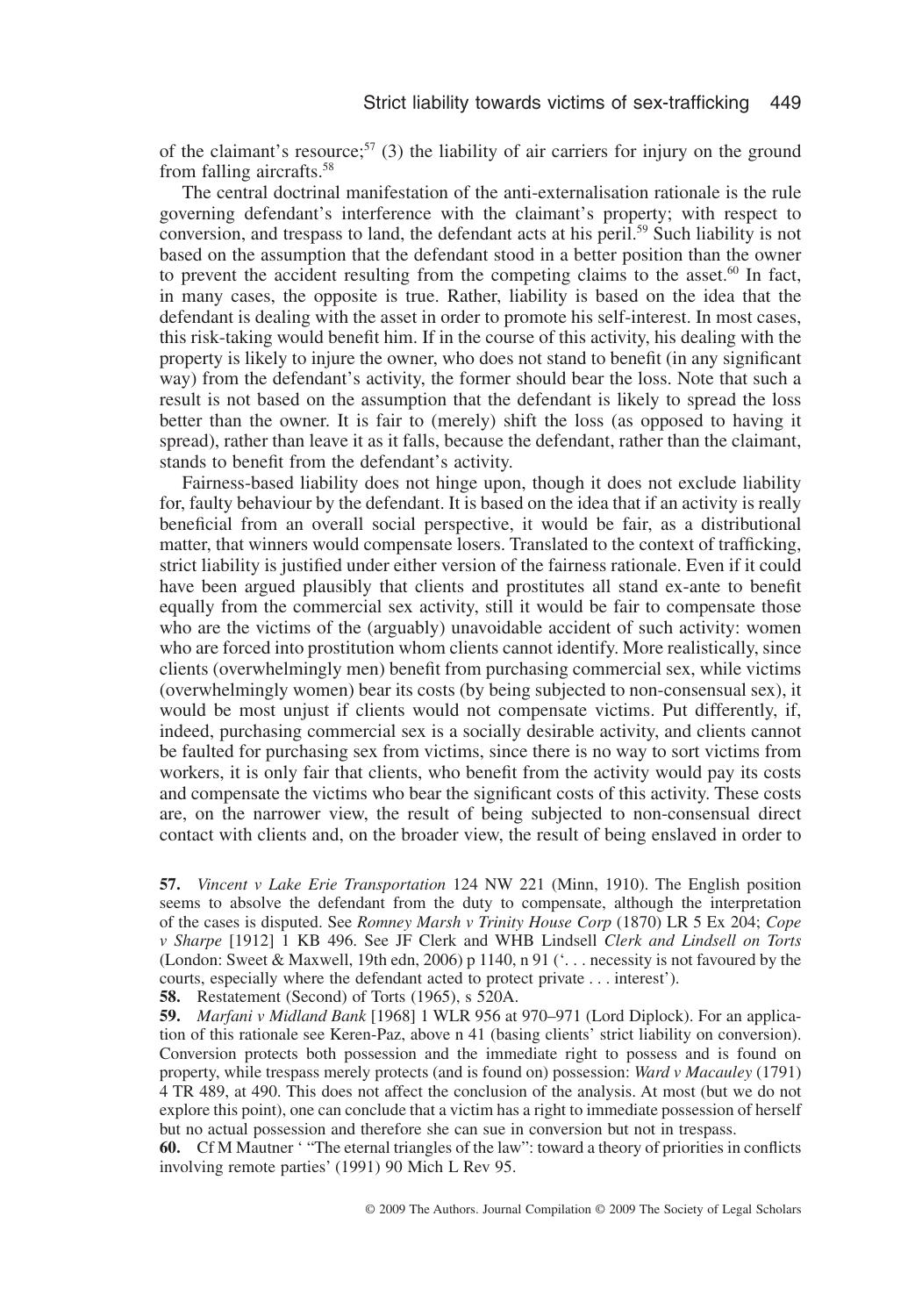of the claimant's resource;<sup>57</sup> (3) the liability of air carriers for injury on the ground from falling aircrafts.58

The central doctrinal manifestation of the anti-externalisation rationale is the rule governing defendant's interference with the claimant's property; with respect to conversion, and trespass to land, the defendant acts at his peril.59 Such liability is not based on the assumption that the defendant stood in a better position than the owner to prevent the accident resulting from the competing claims to the asset.<sup>60</sup> In fact, in many cases, the opposite is true. Rather, liability is based on the idea that the defendant is dealing with the asset in order to promote his self-interest. In most cases, this risk-taking would benefit him. If in the course of this activity, his dealing with the property is likely to injure the owner, who does not stand to benefit (in any significant way) from the defendant's activity, the former should bear the loss. Note that such a result is not based on the assumption that the defendant is likely to spread the loss better than the owner. It is fair to (merely) shift the loss (as opposed to having it spread), rather than leave it as it falls, because the defendant, rather than the claimant, stands to benefit from the defendant's activity.

Fairness-based liability does not hinge upon, though it does not exclude liability for, faulty behaviour by the defendant. It is based on the idea that if an activity is really beneficial from an overall social perspective, it would be fair, as a distributional matter, that winners would compensate losers. Translated to the context of trafficking, strict liability is justified under either version of the fairness rationale. Even if it could have been argued plausibly that clients and prostitutes all stand ex-ante to benefit equally from the commercial sex activity, still it would be fair to compensate those who are the victims of the (arguably) unavoidable accident of such activity: women who are forced into prostitution whom clients cannot identify. More realistically, since clients (overwhelmingly men) benefit from purchasing commercial sex, while victims (overwhelmingly women) bear its costs (by being subjected to non-consensual sex), it would be most unjust if clients would not compensate victims. Put differently, if, indeed, purchasing commercial sex is a socially desirable activity, and clients cannot be faulted for purchasing sex from victims, since there is no way to sort victims from workers, it is only fair that clients, who benefit from the activity would pay its costs and compensate the victims who bear the significant costs of this activity. These costs are, on the narrower view, the result of being subjected to non-consensual direct contact with clients and, on the broader view, the result of being enslaved in order to

**57.** *Vincent v Lake Erie Transportation* 124 NW 221 (Minn, 1910). The English position seems to absolve the defendant from the duty to compensate, although the interpretation of the cases is disputed. See *Romney Marsh v Trinity House Corp* (1870) LR 5 Ex 204; *Cope v Sharpe* [1912] 1 KB 496. See JF Clerk and WHB Lindsell *Clerk and Lindsell on Torts* (London: Sweet & Maxwell, 19th edn, 2006) p 1140, n 91  $(\cdot, \cdot)$  necessity is not favoured by the courts, especially where the defendant acted to protect private... interest').

**58.** Restatement (Second) of Torts (1965), s 520A.

**59.** *Marfani v Midland Bank* [1968] 1 WLR 956 at 970–971 (Lord Diplock). For an application of this rationale see Keren-Paz, above n 41 (basing clients' strict liability on conversion). Conversion protects both possession and the immediate right to possess and is found on property, while trespass merely protects (and is found on) possession: *Ward v Macauley* (1791) 4 TR 489, at 490. This does not affect the conclusion of the analysis. At most (but we do not explore this point), one can conclude that a victim has a right to immediate possession of herself but no actual possession and therefore she can sue in conversion but not in trespass.

**60.** Cf M Mautner ' "The eternal triangles of the law": toward a theory of priorities in conflicts involving remote parties' (1991) 90 Mich L Rev 95.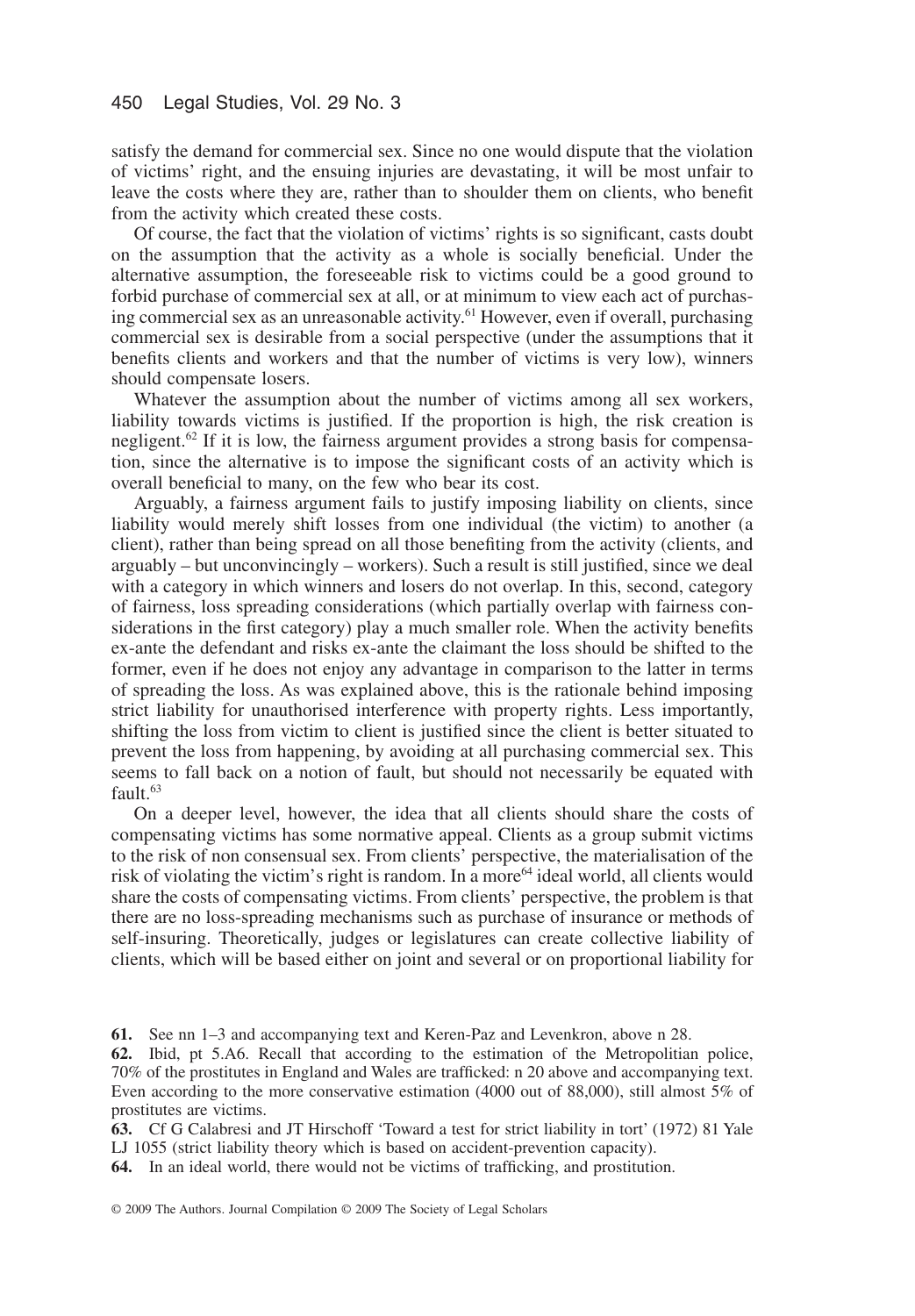satisfy the demand for commercial sex. Since no one would dispute that the violation of victims' right, and the ensuing injuries are devastating, it will be most unfair to leave the costs where they are, rather than to shoulder them on clients, who benefit from the activity which created these costs.

Of course, the fact that the violation of victims' rights is so significant, casts doubt on the assumption that the activity as a whole is socially beneficial. Under the alternative assumption, the foreseeable risk to victims could be a good ground to forbid purchase of commercial sex at all, or at minimum to view each act of purchasing commercial sex as an unreasonable activity.61 However, even if overall, purchasing commercial sex is desirable from a social perspective (under the assumptions that it benefits clients and workers and that the number of victims is very low), winners should compensate losers.

Whatever the assumption about the number of victims among all sex workers, liability towards victims is justified. If the proportion is high, the risk creation is negligent.<sup>62</sup> If it is low, the fairness argument provides a strong basis for compensation, since the alternative is to impose the significant costs of an activity which is overall beneficial to many, on the few who bear its cost.

Arguably, a fairness argument fails to justify imposing liability on clients, since liability would merely shift losses from one individual (the victim) to another (a client), rather than being spread on all those benefiting from the activity (clients, and arguably – but unconvincingly – workers). Such a result is still justified, since we deal with a category in which winners and losers do not overlap. In this, second, category of fairness, loss spreading considerations (which partially overlap with fairness considerations in the first category) play a much smaller role. When the activity benefits ex-ante the defendant and risks ex-ante the claimant the loss should be shifted to the former, even if he does not enjoy any advantage in comparison to the latter in terms of spreading the loss. As was explained above, this is the rationale behind imposing strict liability for unauthorised interference with property rights. Less importantly, shifting the loss from victim to client is justified since the client is better situated to prevent the loss from happening, by avoiding at all purchasing commercial sex. This seems to fall back on a notion of fault, but should not necessarily be equated with  $f$ ault $63$ 

On a deeper level, however, the idea that all clients should share the costs of compensating victims has some normative appeal. Clients as a group submit victims to the risk of non consensual sex. From clients' perspective, the materialisation of the risk of violating the victim's right is random. In a more<sup>64</sup> ideal world, all clients would share the costs of compensating victims. From clients' perspective, the problem is that there are no loss-spreading mechanisms such as purchase of insurance or methods of self-insuring. Theoretically, judges or legislatures can create collective liability of clients, which will be based either on joint and several or on proportional liability for

**61.** See nn 1–3 and accompanying text and Keren-Paz and Levenkron, above n 28.

**62.** Ibid, pt 5.A6. Recall that according to the estimation of the Metropolitian police, 70% of the prostitutes in England and Wales are trafficked: n 20 above and accompanying text. Even according to the more conservative estimation (4000 out of 88,000), still almost 5% of prostitutes are victims.

**63.** Cf G Calabresi and JT Hirschoff 'Toward a test for strict liability in tort' (1972) 81 Yale LJ 1055 (strict liability theory which is based on accident-prevention capacity).

**64.** In an ideal world, there would not be victims of trafficking, and prostitution.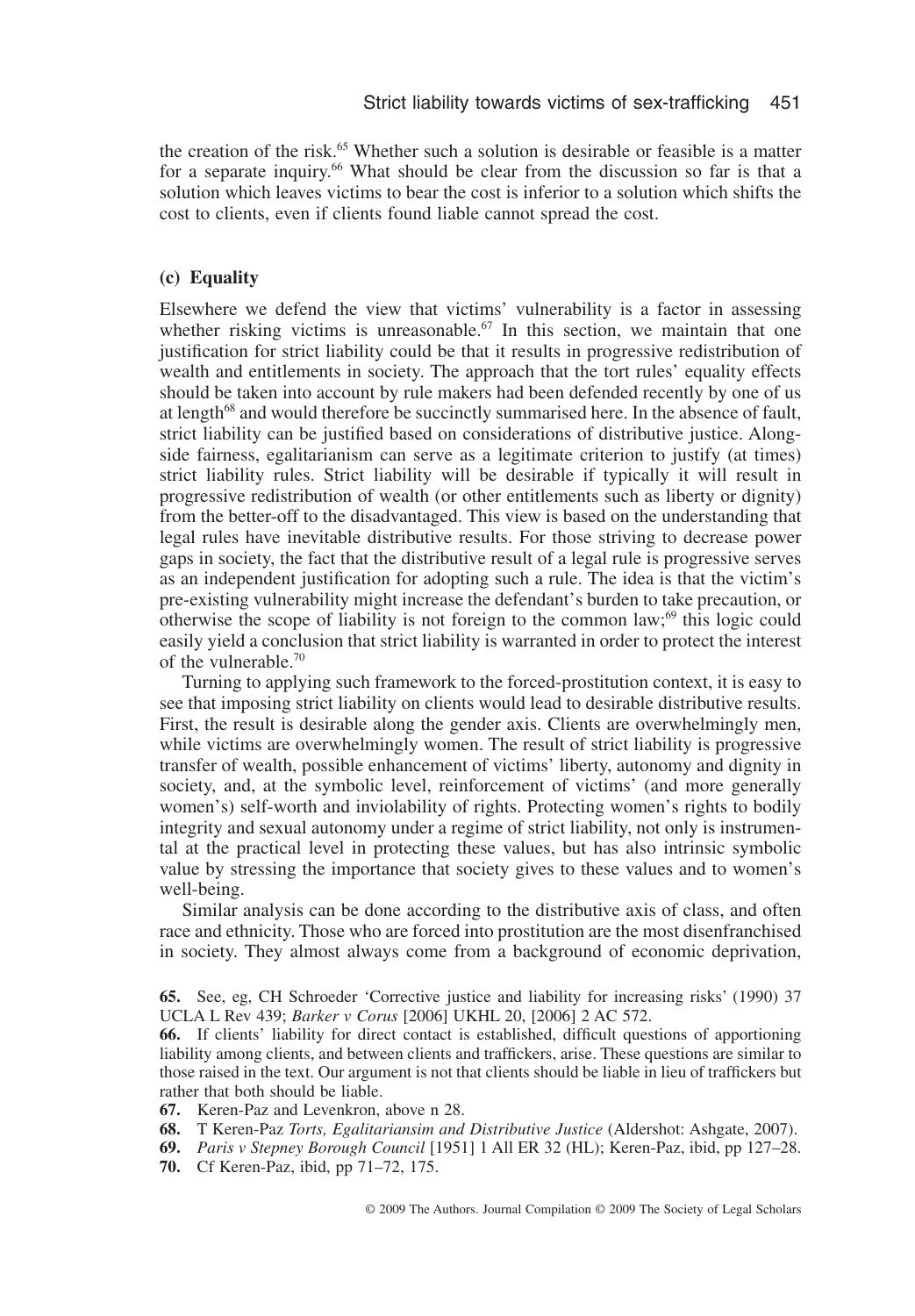the creation of the risk.<sup>65</sup> Whether such a solution is desirable or feasible is a matter for a separate inquiry.<sup>66</sup> What should be clear from the discussion so far is that a solution which leaves victims to bear the cost is inferior to a solution which shifts the cost to clients, even if clients found liable cannot spread the cost.

# **(c) Equality**

Elsewhere we defend the view that victims' vulnerability is a factor in assessing whether risking victims is unreasonable.<sup>67</sup> In this section, we maintain that one justification for strict liability could be that it results in progressive redistribution of wealth and entitlements in society. The approach that the tort rules' equality effects should be taken into account by rule makers had been defended recently by one of us at length<sup>68</sup> and would therefore be succinctly summarised here. In the absence of fault, strict liability can be justified based on considerations of distributive justice. Alongside fairness, egalitarianism can serve as a legitimate criterion to justify (at times) strict liability rules. Strict liability will be desirable if typically it will result in progressive redistribution of wealth (or other entitlements such as liberty or dignity) from the better-off to the disadvantaged. This view is based on the understanding that legal rules have inevitable distributive results. For those striving to decrease power gaps in society, the fact that the distributive result of a legal rule is progressive serves as an independent justification for adopting such a rule. The idea is that the victim's pre-existing vulnerability might increase the defendant's burden to take precaution, or otherwise the scope of liability is not foreign to the common law; $69$  this logic could easily yield a conclusion that strict liability is warranted in order to protect the interest of the vulnerable.70

Turning to applying such framework to the forced-prostitution context, it is easy to see that imposing strict liability on clients would lead to desirable distributive results. First, the result is desirable along the gender axis. Clients are overwhelmingly men, while victims are overwhelmingly women. The result of strict liability is progressive transfer of wealth, possible enhancement of victims' liberty, autonomy and dignity in society, and, at the symbolic level, reinforcement of victims' (and more generally women's) self-worth and inviolability of rights. Protecting women's rights to bodily integrity and sexual autonomy under a regime of strict liability, not only is instrumental at the practical level in protecting these values, but has also intrinsic symbolic value by stressing the importance that society gives to these values and to women's well-being.

Similar analysis can be done according to the distributive axis of class, and often race and ethnicity. Those who are forced into prostitution are the most disenfranchised in society. They almost always come from a background of economic deprivation,

**66.** If clients' liability for direct contact is established, difficult questions of apportioning liability among clients, and between clients and traffickers, arise. These questions are similar to those raised in the text. Our argument is not that clients should be liable in lieu of traffickers but rather that both should be liable.

- **67.** Keren-Paz and Levenkron, above n 28.
- **68.** T Keren-Paz *Torts, Egalitariansim and Distributive Justice* (Aldershot: Ashgate, 2007).

**70.** Cf Keren-Paz, ibid, pp 71–72, 175.

**<sup>65.</sup>** See, eg, CH Schroeder 'Corrective justice and liability for increasing risks' (1990) 37 UCLA L Rev 439; *Barker v Corus* [2006] UKHL 20, [2006] 2 AC 572.

**<sup>69.</sup>** *Paris v Stepney Borough Council* [1951] 1 All ER 32 (HL); Keren-Paz, ibid, pp 127–28.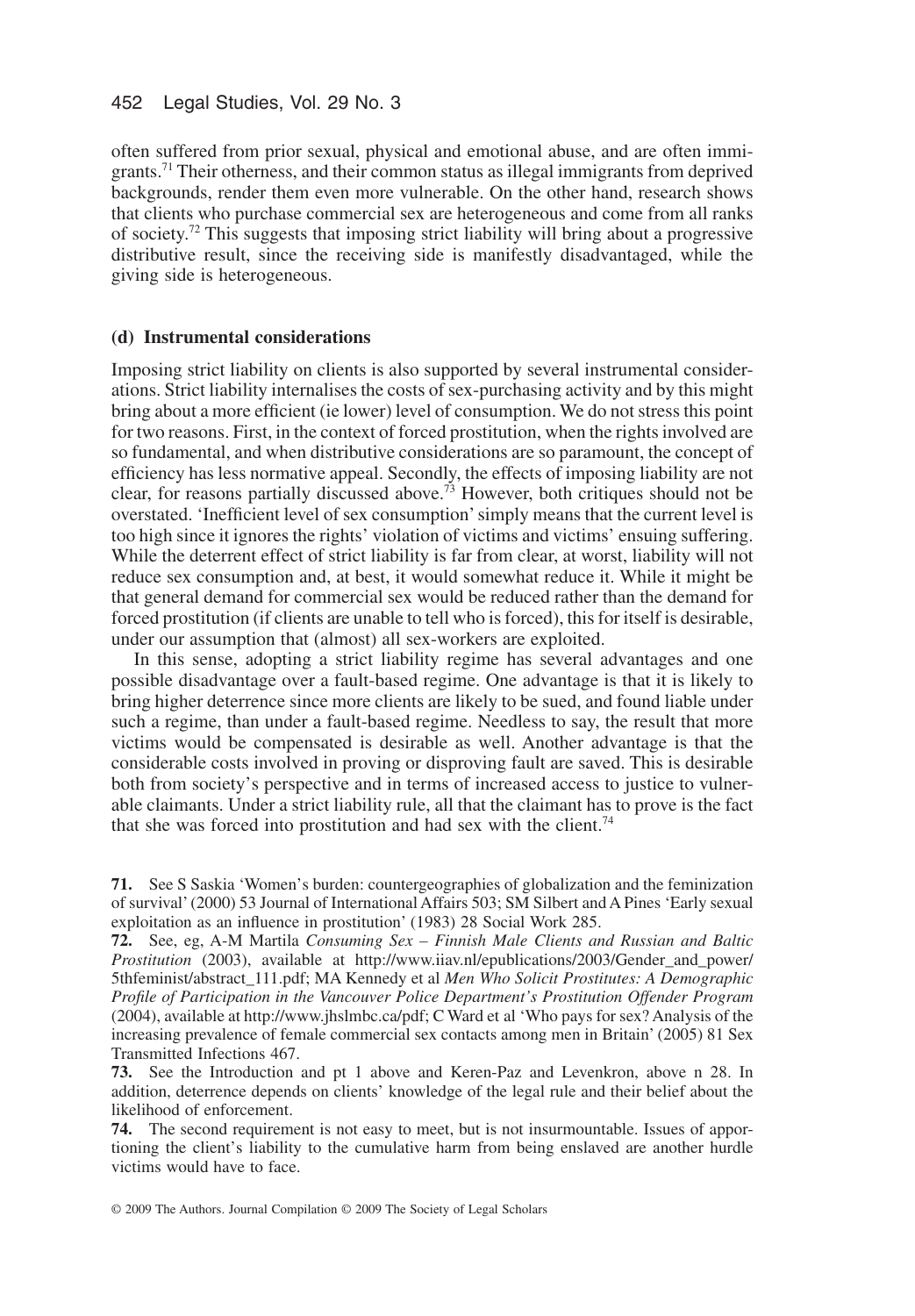often suffered from prior sexual, physical and emotional abuse, and are often immigrants.71 Their otherness, and their common status as illegal immigrants from deprived backgrounds, render them even more vulnerable. On the other hand, research shows that clients who purchase commercial sex are heterogeneous and come from all ranks of society.72 This suggests that imposing strict liability will bring about a progressive distributive result, since the receiving side is manifestly disadvantaged, while the giving side is heterogeneous.

#### **(d) Instrumental considerations**

Imposing strict liability on clients is also supported by several instrumental considerations. Strict liability internalises the costs of sex-purchasing activity and by this might bring about a more efficient (ie lower) level of consumption. We do not stress this point for two reasons. First, in the context of forced prostitution, when the rights involved are so fundamental, and when distributive considerations are so paramount, the concept of efficiency has less normative appeal. Secondly, the effects of imposing liability are not clear, for reasons partially discussed above.73 However, both critiques should not be overstated. 'Inefficient level of sex consumption' simply means that the current level is too high since it ignores the rights' violation of victims and victims' ensuing suffering. While the deterrent effect of strict liability is far from clear, at worst, liability will not reduce sex consumption and, at best, it would somewhat reduce it. While it might be that general demand for commercial sex would be reduced rather than the demand for forced prostitution (if clients are unable to tell who is forced), this for itself is desirable, under our assumption that (almost) all sex-workers are exploited.

In this sense, adopting a strict liability regime has several advantages and one possible disadvantage over a fault-based regime. One advantage is that it is likely to bring higher deterrence since more clients are likely to be sued, and found liable under such a regime, than under a fault-based regime. Needless to say, the result that more victims would be compensated is desirable as well. Another advantage is that the considerable costs involved in proving or disproving fault are saved. This is desirable both from society's perspective and in terms of increased access to justice to vulnerable claimants. Under a strict liability rule, all that the claimant has to prove is the fact that she was forced into prostitution and had sex with the client.<sup>74</sup>

**73.** See the Introduction and pt 1 above and Keren-Paz and Levenkron, above n 28. In addition, deterrence depends on clients' knowledge of the legal rule and their belief about the likelihood of enforcement.

**74.** The second requirement is not easy to meet, but is not insurmountable. Issues of apportioning the client's liability to the cumulative harm from being enslaved are another hurdle victims would have to face.

**<sup>71.</sup>** See S Saskia 'Women's burden: countergeographies of globalization and the feminization of survival' (2000) 53 Journal of International Affairs 503; SM Silbert and A Pines 'Early sexual exploitation as an influence in prostitution' (1983) 28 Social Work 285.

**<sup>72.</sup>** See, eg, A-M Martila *Consuming Sex – Finnish Male Clients and Russian and Baltic Prostitution* (2003), available at http://www.iiav.nl/epublications/2003/Gender\_and\_power/ 5thfeminist/abstract\_111.pdf; MA Kennedy et al *Men Who Solicit Prostitutes: A Demographic Profile of Participation in the Vancouver Police Department's Prostitution Offender Program* (2004), available at http://www.jhslmbc.ca/pdf; C Ward et al 'Who pays for sex? Analysis of the increasing prevalence of female commercial sex contacts among men in Britain' (2005) 81 Sex Transmitted Infections 467.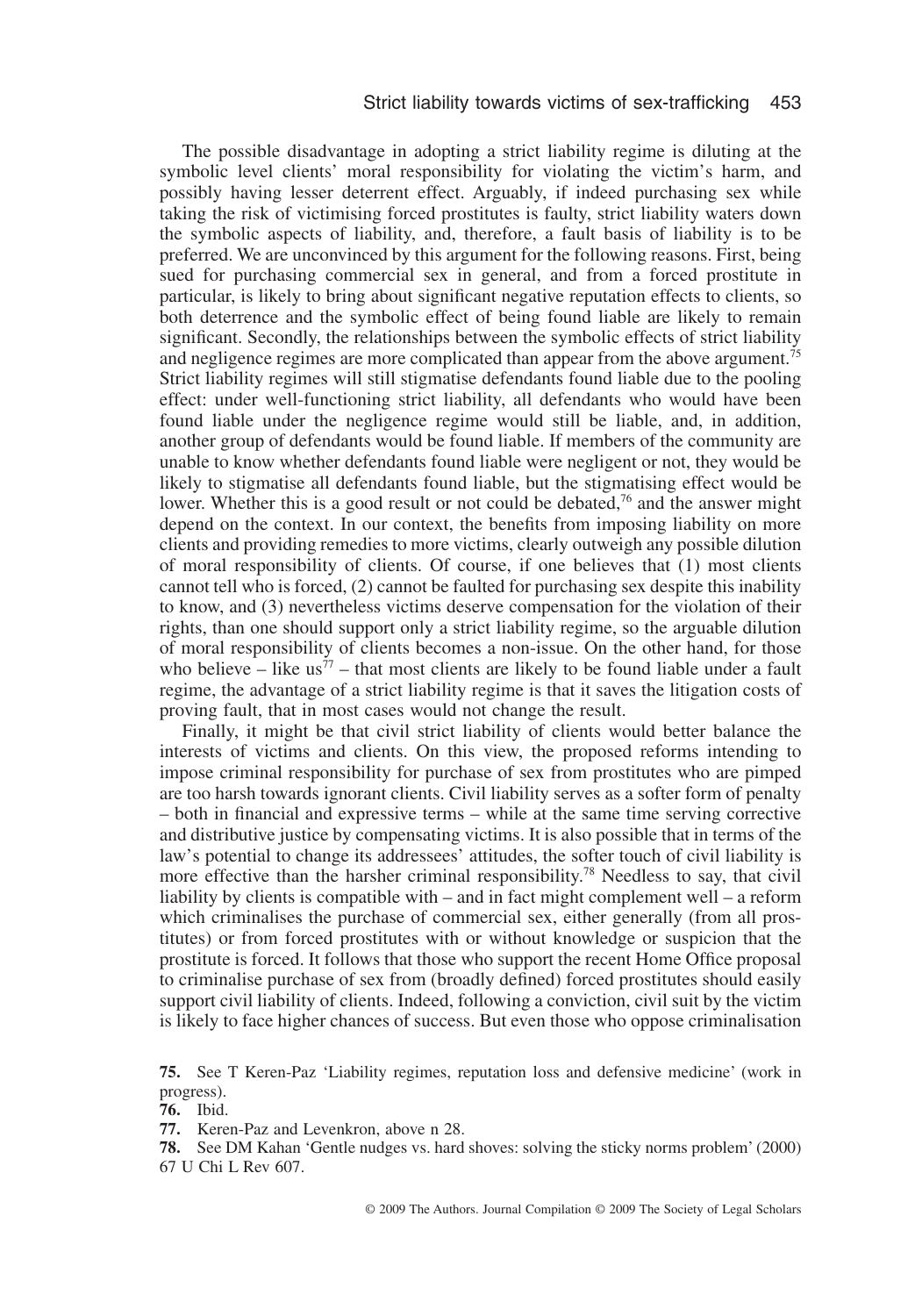The possible disadvantage in adopting a strict liability regime is diluting at the symbolic level clients' moral responsibility for violating the victim's harm, and possibly having lesser deterrent effect. Arguably, if indeed purchasing sex while taking the risk of victimising forced prostitutes is faulty, strict liability waters down the symbolic aspects of liability, and, therefore, a fault basis of liability is to be preferred. We are unconvinced by this argument for the following reasons. First, being sued for purchasing commercial sex in general, and from a forced prostitute in particular, is likely to bring about significant negative reputation effects to clients, so both deterrence and the symbolic effect of being found liable are likely to remain significant. Secondly, the relationships between the symbolic effects of strict liability and negligence regimes are more complicated than appear from the above argument.<sup>75</sup> Strict liability regimes will still stigmatise defendants found liable due to the pooling effect: under well-functioning strict liability, all defendants who would have been found liable under the negligence regime would still be liable, and, in addition, another group of defendants would be found liable. If members of the community are unable to know whether defendants found liable were negligent or not, they would be likely to stigmatise all defendants found liable, but the stigmatising effect would be lower. Whether this is a good result or not could be debated,<sup>76</sup> and the answer might depend on the context. In our context, the benefits from imposing liability on more clients and providing remedies to more victims, clearly outweigh any possible dilution of moral responsibility of clients. Of course, if one believes that (1) most clients cannot tell who is forced, (2) cannot be faulted for purchasing sex despite this inability to know, and (3) nevertheless victims deserve compensation for the violation of their rights, than one should support only a strict liability regime, so the arguable dilution of moral responsibility of clients becomes a non-issue. On the other hand, for those who believe – like us<sup> $77$ </sup> – that most clients are likely to be found liable under a fault regime, the advantage of a strict liability regime is that it saves the litigation costs of proving fault, that in most cases would not change the result.

Finally, it might be that civil strict liability of clients would better balance the interests of victims and clients. On this view, the proposed reforms intending to impose criminal responsibility for purchase of sex from prostitutes who are pimped are too harsh towards ignorant clients. Civil liability serves as a softer form of penalty – both in financial and expressive terms – while at the same time serving corrective and distributive justice by compensating victims. It is also possible that in terms of the law's potential to change its addressees' attitudes, the softer touch of civil liability is more effective than the harsher criminal responsibility.<sup>78</sup> Needless to say, that civil liability by clients is compatible with – and in fact might complement well – a reform which criminalises the purchase of commercial sex, either generally (from all prostitutes) or from forced prostitutes with or without knowledge or suspicion that the prostitute is forced. It follows that those who support the recent Home Office proposal to criminalise purchase of sex from (broadly defined) forced prostitutes should easily support civil liability of clients. Indeed, following a conviction, civil suit by the victim is likely to face higher chances of success. But even those who oppose criminalisation

**77.** Keren-Paz and Levenkron, above n 28.

**78.** See DM Kahan 'Gentle nudges vs. hard shoves: solving the sticky norms problem' (2000) 67 U Chi L Rev 607.

**<sup>75.</sup>** See T Keren-Paz 'Liability regimes, reputation loss and defensive medicine' (work in progress).

**<sup>76.</sup>** Ibid.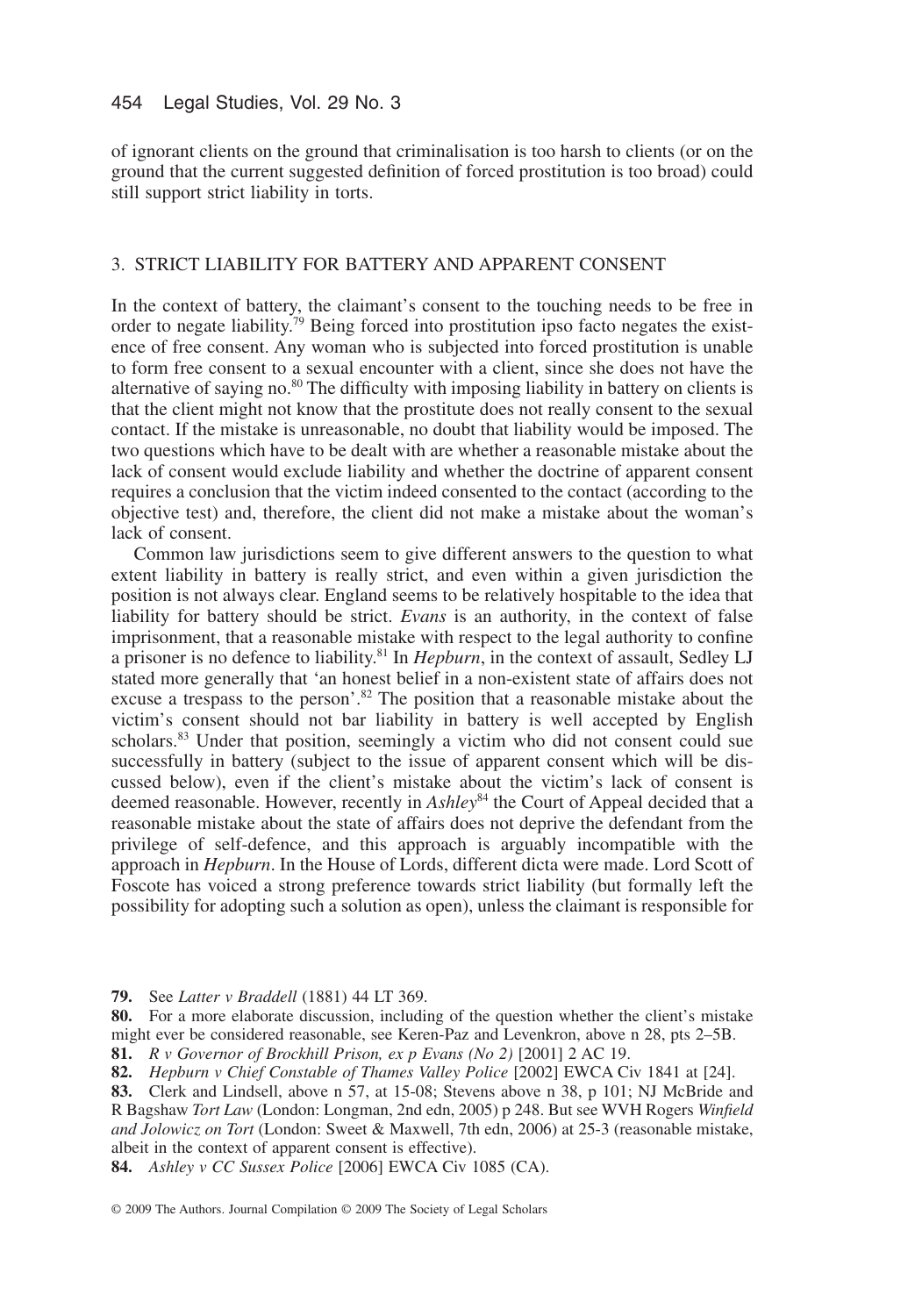of ignorant clients on the ground that criminalisation is too harsh to clients (or on the ground that the current suggested definition of forced prostitution is too broad) could still support strict liability in torts.

# 3. STRICT LIABILITY FOR BATTERY AND APPARENT CONSENT

In the context of battery, the claimant's consent to the touching needs to be free in order to negate liability.<sup>79</sup> Being forced into prostitution ipso facto negates the existence of free consent. Any woman who is subjected into forced prostitution is unable to form free consent to a sexual encounter with a client, since she does not have the alternative of saying no.80 The difficulty with imposing liability in battery on clients is that the client might not know that the prostitute does not really consent to the sexual contact. If the mistake is unreasonable, no doubt that liability would be imposed. The two questions which have to be dealt with are whether a reasonable mistake about the lack of consent would exclude liability and whether the doctrine of apparent consent requires a conclusion that the victim indeed consented to the contact (according to the objective test) and, therefore, the client did not make a mistake about the woman's lack of consent.

Common law jurisdictions seem to give different answers to the question to what extent liability in battery is really strict, and even within a given jurisdiction the position is not always clear. England seems to be relatively hospitable to the idea that liability for battery should be strict. *Evans* is an authority, in the context of false imprisonment, that a reasonable mistake with respect to the legal authority to confine a prisoner is no defence to liability.81 In *Hepburn*, in the context of assault, Sedley LJ stated more generally that 'an honest belief in a non-existent state of affairs does not excuse a trespass to the person'.<sup>82</sup> The position that a reasonable mistake about the victim's consent should not bar liability in battery is well accepted by English scholars.<sup>83</sup> Under that position, seemingly a victim who did not consent could sue successfully in battery (subject to the issue of apparent consent which will be discussed below), even if the client's mistake about the victim's lack of consent is deemed reasonable. However, recently in *Ashley*<sup>84</sup> the Court of Appeal decided that a reasonable mistake about the state of affairs does not deprive the defendant from the privilege of self-defence, and this approach is arguably incompatible with the approach in *Hepburn*. In the House of Lords, different dicta were made. Lord Scott of Foscote has voiced a strong preference towards strict liability (but formally left the possibility for adopting such a solution as open), unless the claimant is responsible for

albeit in the context of apparent consent is effective).

**84.** *Ashley v CC Sussex Police* [2006] EWCA Civ 1085 (CA).

**<sup>79.</sup>** See *Latter v Braddell* (1881) 44 LT 369.

**<sup>80.</sup>** For a more elaborate discussion, including of the question whether the client's mistake might ever be considered reasonable, see Keren-Paz and Levenkron, above n 28, pts 2–5B.

**<sup>81.</sup>** *R v Governor of Brockhill Prison, ex p Evans (No 2)* [2001] 2 AC 19.

**<sup>82.</sup>** *Hepburn v Chief Constable of Thames Valley Police* [2002] EWCA Civ 1841 at [24].

**<sup>83.</sup>** Clerk and Lindsell, above n 57, at 15-08; Stevens above n 38, p 101; NJ McBride and R Bagshaw *Tort Law* (London: Longman, 2nd edn, 2005) p 248. But see WVH Rogers *Winfield and Jolowicz on Tort* (London: Sweet & Maxwell, 7th edn, 2006) at 25-3 (reasonable mistake,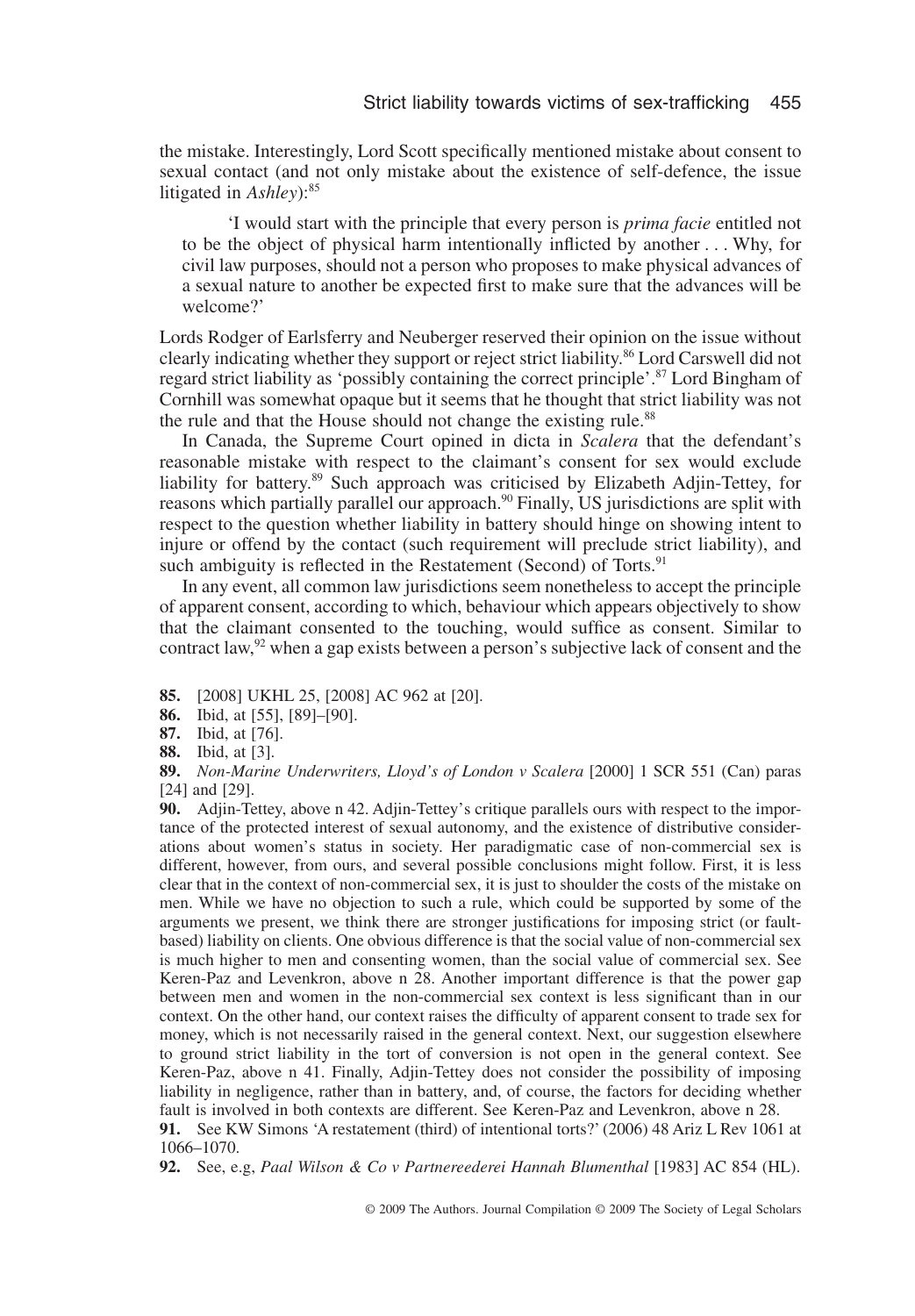the mistake. Interestingly, Lord Scott specifically mentioned mistake about consent to sexual contact (and not only mistake about the existence of self-defence, the issue litigated in *Ashley*):<sup>85</sup>

'I would start with the principle that every person is *prima facie* entitled not to be the object of physical harm intentionally inflicted by another . . . Why, for civil law purposes, should not a person who proposes to make physical advances of a sexual nature to another be expected first to make sure that the advances will be welcome?'

Lords Rodger of Earlsferry and Neuberger reserved their opinion on the issue without clearly indicating whether they support or reject strict liability.86 Lord Carswell did not regard strict liability as 'possibly containing the correct principle'.87 Lord Bingham of Cornhill was somewhat opaque but it seems that he thought that strict liability was not the rule and that the House should not change the existing rule.<sup>88</sup>

In Canada, the Supreme Court opined in dicta in *Scalera* that the defendant's reasonable mistake with respect to the claimant's consent for sex would exclude liability for battery.89 Such approach was criticised by Elizabeth Adjin-Tettey, for reasons which partially parallel our approach.<sup>90</sup> Finally, US jurisdictions are split with respect to the question whether liability in battery should hinge on showing intent to injure or offend by the contact (such requirement will preclude strict liability), and such ambiguity is reflected in the Restatement (Second) of Torts.<sup>91</sup>

In any event, all common law jurisdictions seem nonetheless to accept the principle of apparent consent, according to which, behaviour which appears objectively to show that the claimant consented to the touching, would suffice as consent. Similar to contract law,92 when a gap exists between a person's subjective lack of consent and the

**85.** [2008] UKHL 25, [2008] AC 962 at [20].

**86.** Ibid, at [55], [89]–[90].

**87.** Ibid, at [76].

**88.** Ibid, at [3].

**89.** *Non-Marine Underwriters, Lloyd's of London v Scalera* [2000] 1 SCR 551 (Can) paras [24] and [29].

**90.** Adjin-Tettey, above n 42. Adjin-Tettey's critique parallels ours with respect to the importance of the protected interest of sexual autonomy, and the existence of distributive considerations about women's status in society. Her paradigmatic case of non-commercial sex is different, however, from ours, and several possible conclusions might follow. First, it is less clear that in the context of non-commercial sex, it is just to shoulder the costs of the mistake on men. While we have no objection to such a rule, which could be supported by some of the arguments we present, we think there are stronger justifications for imposing strict (or faultbased) liability on clients. One obvious difference is that the social value of non-commercial sex is much higher to men and consenting women, than the social value of commercial sex. See Keren-Paz and Levenkron, above n 28. Another important difference is that the power gap between men and women in the non-commercial sex context is less significant than in our context. On the other hand, our context raises the difficulty of apparent consent to trade sex for money, which is not necessarily raised in the general context. Next, our suggestion elsewhere to ground strict liability in the tort of conversion is not open in the general context. See Keren-Paz, above n 41. Finally, Adjin-Tettey does not consider the possibility of imposing liability in negligence, rather than in battery, and, of course, the factors for deciding whether fault is involved in both contexts are different. See Keren-Paz and Levenkron, above n 28.

**91.** See KW Simons 'A restatement (third) of intentional torts?' (2006) 48 Ariz L Rev 1061 at 1066–1070.

**92.** See, e.g, *Paal Wilson & Co v Partnereederei Hannah Blumenthal* [1983] AC 854 (HL).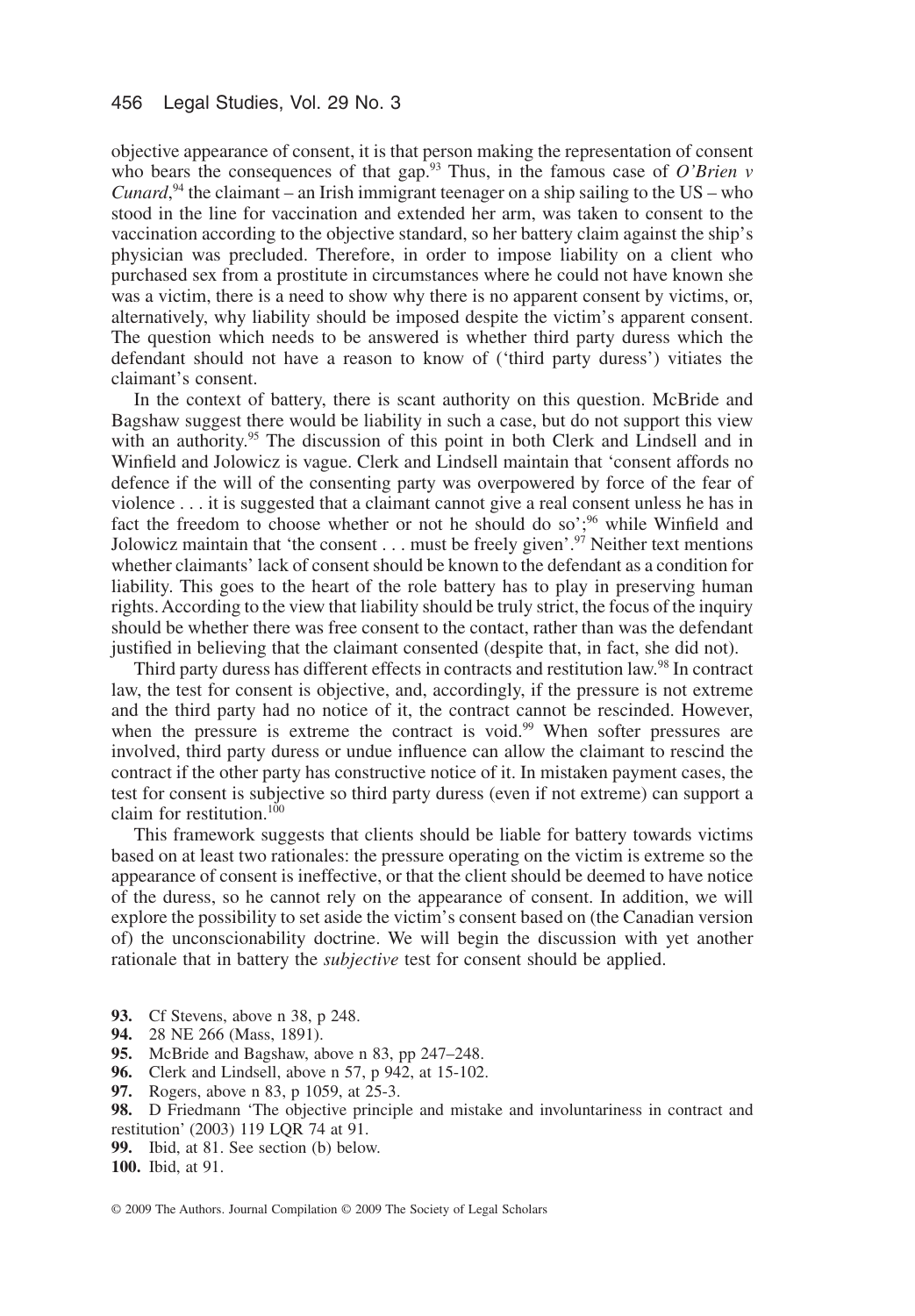objective appearance of consent, it is that person making the representation of consent who bears the consequences of that gap.<sup>93</sup> Thus, in the famous case of  $O'$ *Brien v Cunard*,<sup>94</sup> the claimant – an Irish immigrant teenager on a ship sailing to the US – who stood in the line for vaccination and extended her arm, was taken to consent to the vaccination according to the objective standard, so her battery claim against the ship's physician was precluded. Therefore, in order to impose liability on a client who purchased sex from a prostitute in circumstances where he could not have known she was a victim, there is a need to show why there is no apparent consent by victims, or, alternatively, why liability should be imposed despite the victim's apparent consent. The question which needs to be answered is whether third party duress which the defendant should not have a reason to know of ('third party duress') vitiates the claimant's consent.

In the context of battery, there is scant authority on this question. McBride and Bagshaw suggest there would be liability in such a case, but do not support this view with an authority.<sup>95</sup> The discussion of this point in both Clerk and Lindsell and in Winfield and Jolowicz is vague. Clerk and Lindsell maintain that 'consent affords no defence if the will of the consenting party was overpowered by force of the fear of violence . . . it is suggested that a claimant cannot give a real consent unless he has in fact the freedom to choose whether or not he should do so';<sup>96</sup> while Winfield and Jolowicz maintain that 'the consent... must be freely given'.<sup>97</sup> Neither text mentions whether claimants' lack of consent should be known to the defendant as a condition for liability. This goes to the heart of the role battery has to play in preserving human rights. According to the view that liability should be truly strict, the focus of the inquiry should be whether there was free consent to the contact, rather than was the defendant justified in believing that the claimant consented (despite that, in fact, she did not).

Third party duress has different effects in contracts and restitution law.<sup>98</sup> In contract law, the test for consent is objective, and, accordingly, if the pressure is not extreme and the third party had no notice of it, the contract cannot be rescinded. However, when the pressure is extreme the contract is void.<sup>99</sup> When softer pressures are involved, third party duress or undue influence can allow the claimant to rescind the contract if the other party has constructive notice of it. In mistaken payment cases, the test for consent is subjective so third party duress (even if not extreme) can support a claim for restitution. $100$ 

This framework suggests that clients should be liable for battery towards victims based on at least two rationales: the pressure operating on the victim is extreme so the appearance of consent is ineffective, or that the client should be deemed to have notice of the duress, so he cannot rely on the appearance of consent. In addition, we will explore the possibility to set aside the victim's consent based on (the Canadian version of) the unconscionability doctrine. We will begin the discussion with yet another rationale that in battery the *subjective* test for consent should be applied.

- **93.** Cf Stevens, above n 38, p 248.
- **94.** 28 NE 266 (Mass, 1891).
- **95.** McBride and Bagshaw, above n 83, pp 247–248.
- **96.** Clerk and Lindsell, above n 57, p 942, at 15-102.
- **97.** Rogers, above n 83, p 1059, at 25-3.
- **98.** D Friedmann 'The objective principle and mistake and involuntariness in contract and restitution' (2003) 119 LQR 74 at 91.
- **99.** Ibid, at 81. See section (b) below.

**100.** Ibid, at 91.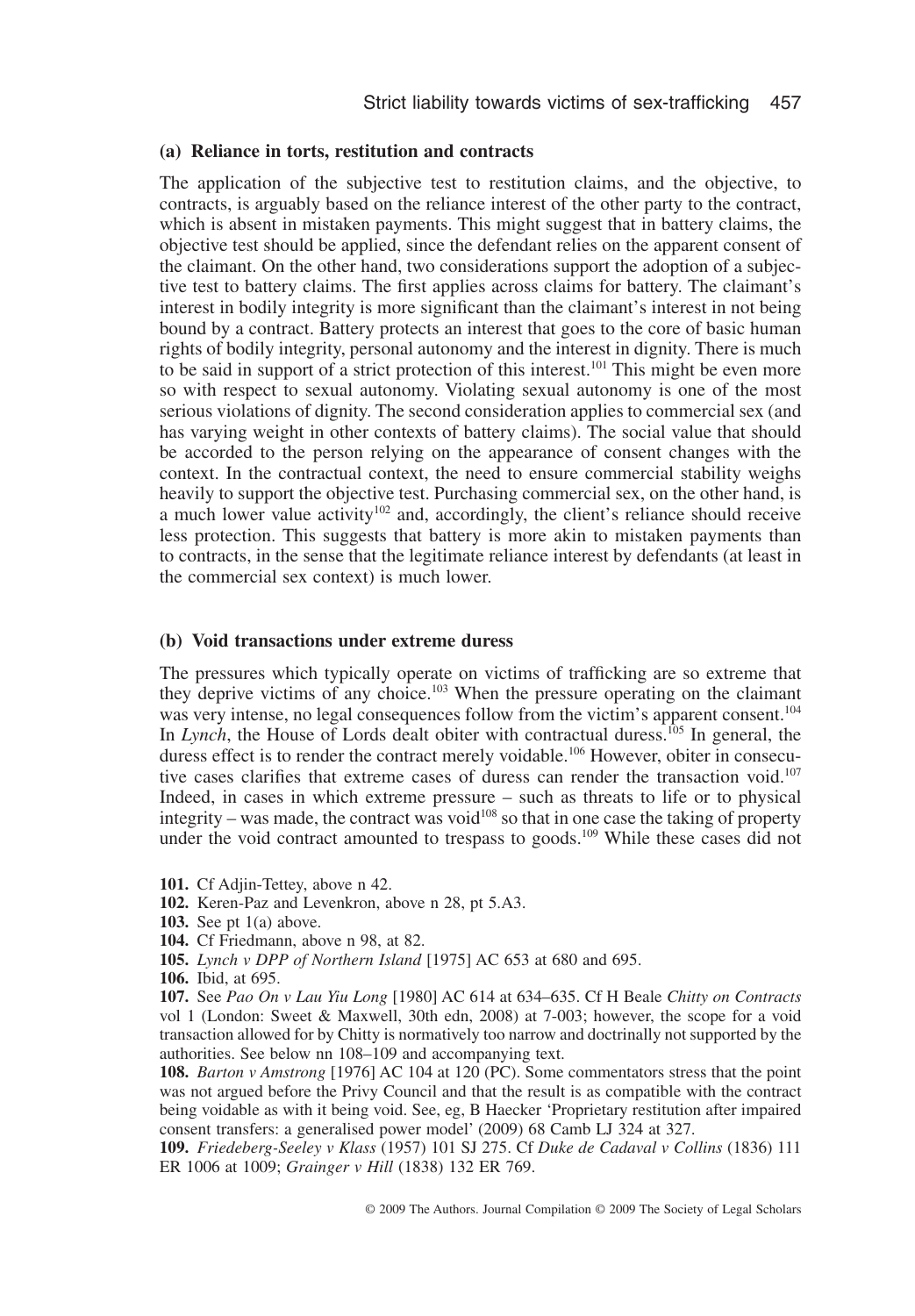## **(a) Reliance in torts, restitution and contracts**

The application of the subjective test to restitution claims, and the objective, to contracts, is arguably based on the reliance interest of the other party to the contract, which is absent in mistaken payments. This might suggest that in battery claims, the objective test should be applied, since the defendant relies on the apparent consent of the claimant. On the other hand, two considerations support the adoption of a subjective test to battery claims. The first applies across claims for battery. The claimant's interest in bodily integrity is more significant than the claimant's interest in not being bound by a contract. Battery protects an interest that goes to the core of basic human rights of bodily integrity, personal autonomy and the interest in dignity. There is much to be said in support of a strict protection of this interest.<sup>101</sup> This might be even more so with respect to sexual autonomy. Violating sexual autonomy is one of the most serious violations of dignity. The second consideration applies to commercial sex (and has varying weight in other contexts of battery claims). The social value that should be accorded to the person relying on the appearance of consent changes with the context. In the contractual context, the need to ensure commercial stability weighs heavily to support the objective test. Purchasing commercial sex, on the other hand, is a much lower value activity<sup>102</sup> and, accordingly, the client's reliance should receive less protection. This suggests that battery is more akin to mistaken payments than to contracts, in the sense that the legitimate reliance interest by defendants (at least in the commercial sex context) is much lower.

## **(b) Void transactions under extreme duress**

The pressures which typically operate on victims of trafficking are so extreme that they deprive victims of any choice. $103$  When the pressure operating on the claimant was very intense, no legal consequences follow from the victim's apparent consent.<sup>104</sup> In *Lynch*, the House of Lords dealt obiter with contractual duress.<sup>105</sup> In general, the duress effect is to render the contract merely voidable.<sup>106</sup> However, obiter in consecutive cases clarifies that extreme cases of duress can render the transaction void.<sup>107</sup> Indeed, in cases in which extreme pressure – such as threats to life or to physical integrity – was made, the contract was void $108$  so that in one case the taking of property under the void contract amounted to trespass to goods.<sup>109</sup> While these cases did not

**101.** Cf Adjin-Tettey, above n 42.

**102.** Keren-Paz and Levenkron, above n 28, pt 5.A3.

**103.** See pt 1(a) above.

**104.** Cf Friedmann, above n 98, at 82.

**105.** *Lynch v DPP of Northern Island* [1975] AC 653 at 680 and 695.

**107.** See *Pao On v Lau Yiu Long* [1980] AC 614 at 634–635. Cf H Beale *Chitty on Contracts* vol 1 (London: Sweet & Maxwell, 30th edn, 2008) at 7-003; however, the scope for a void transaction allowed for by Chitty is normatively too narrow and doctrinally not supported by the authorities. See below nn 108–109 and accompanying text.

**108.** *Barton v Amstrong* [1976] AC 104 at 120 (PC). Some commentators stress that the point was not argued before the Privy Council and that the result is as compatible with the contract being voidable as with it being void. See, eg, B Haecker 'Proprietary restitution after impaired consent transfers: a generalised power model' (2009) 68 Camb LJ 324 at 327.

**109.** *Friedeberg-Seeley v Klass* (1957) 101 SJ 275. Cf *Duke de Cadaval v Collins* (1836) 111 ER 1006 at 1009; *Grainger v Hill* (1838) 132 ER 769.

**<sup>106.</sup>** Ibid, at 695.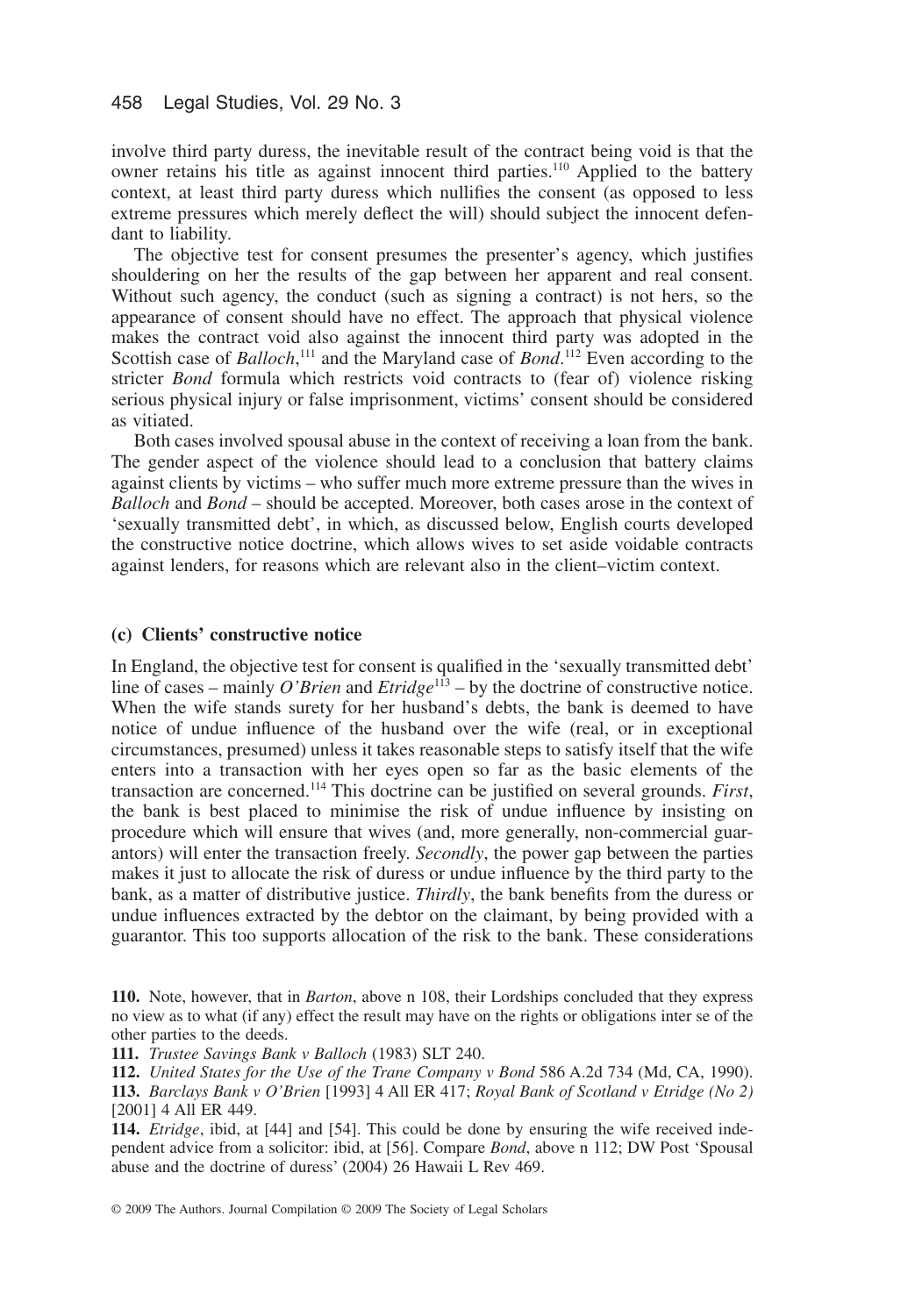involve third party duress, the inevitable result of the contract being void is that the owner retains his title as against innocent third parties.110 Applied to the battery context, at least third party duress which nullifies the consent (as opposed to less extreme pressures which merely deflect the will) should subject the innocent defendant to liability.

The objective test for consent presumes the presenter's agency, which justifies shouldering on her the results of the gap between her apparent and real consent. Without such agency, the conduct (such as signing a contract) is not hers, so the appearance of consent should have no effect. The approach that physical violence makes the contract void also against the innocent third party was adopted in the Scottish case of *Balloch*<sup>111</sup> and the Maryland case of *Bond*.<sup>112</sup> Even according to the stricter *Bond* formula which restricts void contracts to (fear of) violence risking serious physical injury or false imprisonment, victims' consent should be considered as vitiated.

Both cases involved spousal abuse in the context of receiving a loan from the bank. The gender aspect of the violence should lead to a conclusion that battery claims against clients by victims – who suffer much more extreme pressure than the wives in *Balloch* and *Bond* – should be accepted. Moreover, both cases arose in the context of 'sexually transmitted debt', in which, as discussed below, English courts developed the constructive notice doctrine, which allows wives to set aside voidable contracts against lenders, for reasons which are relevant also in the client–victim context.

#### **(c) Clients' constructive notice**

In England, the objective test for consent is qualified in the 'sexually transmitted debt' line of cases – mainly *O'Brien* and  $Etridge$ <sup>113</sup> – by the doctrine of constructive notice. When the wife stands surety for her husband's debts, the bank is deemed to have notice of undue influence of the husband over the wife (real, or in exceptional circumstances, presumed) unless it takes reasonable steps to satisfy itself that the wife enters into a transaction with her eyes open so far as the basic elements of the transaction are concerned.114 This doctrine can be justified on several grounds. *First*, the bank is best placed to minimise the risk of undue influence by insisting on procedure which will ensure that wives (and, more generally, non-commercial guarantors) will enter the transaction freely. *Secondly*, the power gap between the parties makes it just to allocate the risk of duress or undue influence by the third party to the bank, as a matter of distributive justice. *Thirdly*, the bank benefits from the duress or undue influences extracted by the debtor on the claimant, by being provided with a guarantor. This too supports allocation of the risk to the bank. These considerations

**<sup>110.</sup>** Note, however, that in *Barton*, above n 108, their Lordships concluded that they express no view as to what (if any) effect the result may have on the rights or obligations inter se of the other parties to the deeds.

**<sup>111.</sup>** *Trustee Savings Bank v Balloch* (1983) SLT 240.

**<sup>112.</sup>** *United States for the Use of the Trane Company v Bond* 586 A.2d 734 (Md, CA, 1990).

**<sup>113.</sup>** *Barclays Bank v O'Brien* [1993] 4 All ER 417; *Royal Bank of Scotland v Etridge (No 2)* [2001] 4 All ER 449.

**<sup>114.</sup>** *Etridge*, ibid, at [44] and [54]. This could be done by ensuring the wife received independent advice from a solicitor: ibid, at [56]. Compare *Bond*, above n 112; DW Post 'Spousal abuse and the doctrine of duress' (2004) 26 Hawaii L Rev 469.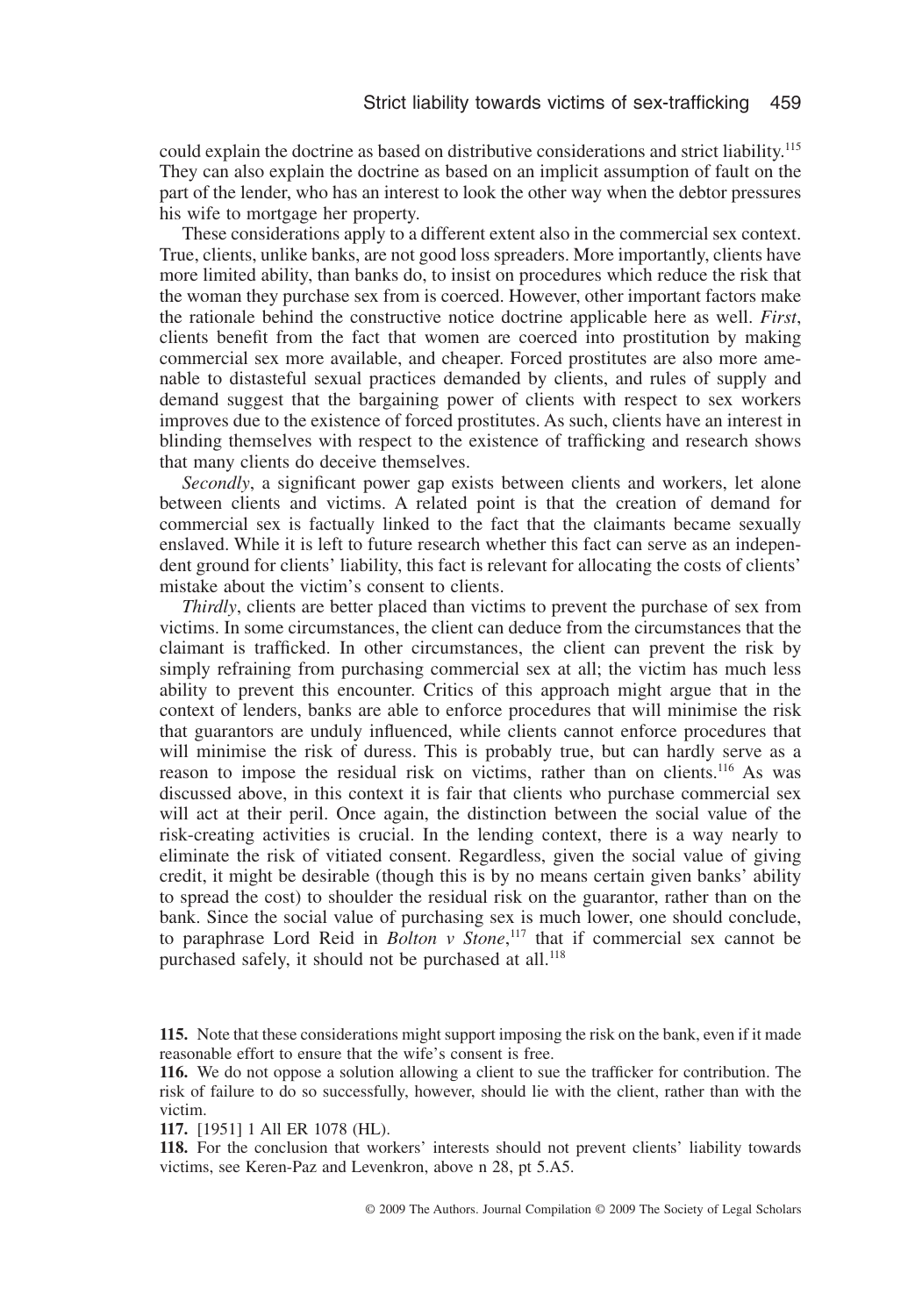could explain the doctrine as based on distributive considerations and strict liability.<sup>115</sup> They can also explain the doctrine as based on an implicit assumption of fault on the part of the lender, who has an interest to look the other way when the debtor pressures his wife to mortgage her property.

These considerations apply to a different extent also in the commercial sex context. True, clients, unlike banks, are not good loss spreaders. More importantly, clients have more limited ability, than banks do, to insist on procedures which reduce the risk that the woman they purchase sex from is coerced. However, other important factors make the rationale behind the constructive notice doctrine applicable here as well. *First*, clients benefit from the fact that women are coerced into prostitution by making commercial sex more available, and cheaper. Forced prostitutes are also more amenable to distasteful sexual practices demanded by clients, and rules of supply and demand suggest that the bargaining power of clients with respect to sex workers improves due to the existence of forced prostitutes. As such, clients have an interest in blinding themselves with respect to the existence of trafficking and research shows that many clients do deceive themselves.

*Secondly*, a significant power gap exists between clients and workers, let alone between clients and victims. A related point is that the creation of demand for commercial sex is factually linked to the fact that the claimants became sexually enslaved. While it is left to future research whether this fact can serve as an independent ground for clients' liability, this fact is relevant for allocating the costs of clients' mistake about the victim's consent to clients.

*Thirdly*, clients are better placed than victims to prevent the purchase of sex from victims. In some circumstances, the client can deduce from the circumstances that the claimant is trafficked. In other circumstances, the client can prevent the risk by simply refraining from purchasing commercial sex at all; the victim has much less ability to prevent this encounter. Critics of this approach might argue that in the context of lenders, banks are able to enforce procedures that will minimise the risk that guarantors are unduly influenced, while clients cannot enforce procedures that will minimise the risk of duress. This is probably true, but can hardly serve as a reason to impose the residual risk on victims, rather than on clients.<sup>116</sup> As was discussed above, in this context it is fair that clients who purchase commercial sex will act at their peril. Once again, the distinction between the social value of the risk-creating activities is crucial. In the lending context, there is a way nearly to eliminate the risk of vitiated consent. Regardless, given the social value of giving credit, it might be desirable (though this is by no means certain given banks' ability to spread the cost) to shoulder the residual risk on the guarantor, rather than on the bank. Since the social value of purchasing sex is much lower, one should conclude, to paraphrase Lord Reid in *Bolton v Stone*, <sup>117</sup> that if commercial sex cannot be purchased safely, it should not be purchased at all.<sup>118</sup>

**115.** Note that these considerations might support imposing the risk on the bank, even if it made reasonable effort to ensure that the wife's consent is free.

**116.** We do not oppose a solution allowing a client to sue the trafficker for contribution. The risk of failure to do so successfully, however, should lie with the client, rather than with the victim.

**117.** [1951] 1 All ER 1078 (HL).

**118.** For the conclusion that workers' interests should not prevent clients' liability towards victims, see Keren-Paz and Levenkron, above n 28, pt 5.A5.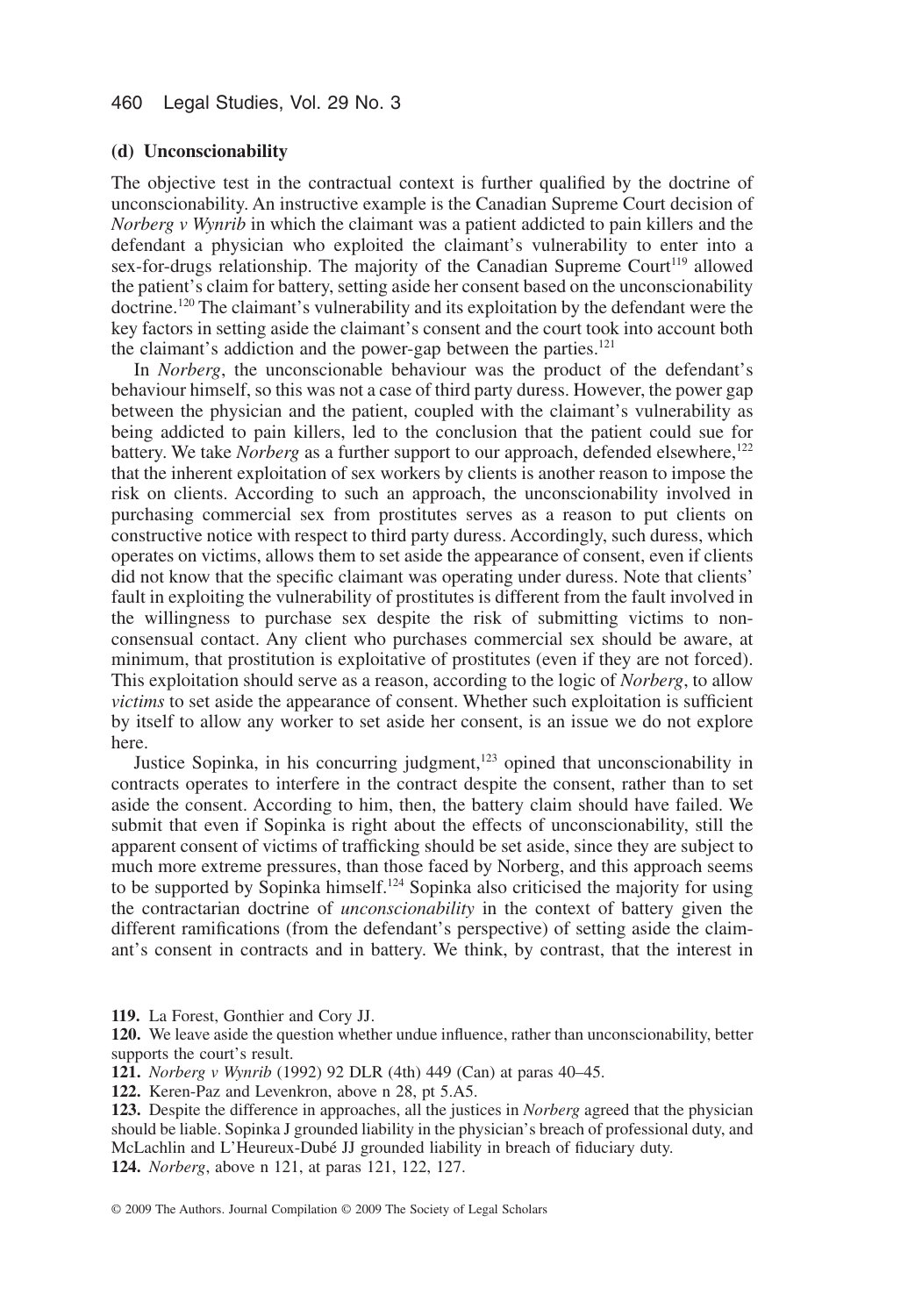#### **(d) Unconscionability**

The objective test in the contractual context is further qualified by the doctrine of unconscionability. An instructive example is the Canadian Supreme Court decision of *Norberg v Wynrib* in which the claimant was a patient addicted to pain killers and the defendant a physician who exploited the claimant's vulnerability to enter into a sex-for-drugs relationship. The majority of the Canadian Supreme Court<sup>119</sup> allowed the patient's claim for battery, setting aside her consent based on the unconscionability doctrine.<sup>120</sup> The claimant's vulnerability and its exploitation by the defendant were the key factors in setting aside the claimant's consent and the court took into account both the claimant's addiction and the power-gap between the parties.<sup>121</sup>

In *Norberg*, the unconscionable behaviour was the product of the defendant's behaviour himself, so this was not a case of third party duress. However, the power gap between the physician and the patient, coupled with the claimant's vulnerability as being addicted to pain killers, led to the conclusion that the patient could sue for battery. We take *Norberg* as a further support to our approach, defended elsewhere,<sup>122</sup> that the inherent exploitation of sex workers by clients is another reason to impose the risk on clients. According to such an approach, the unconscionability involved in purchasing commercial sex from prostitutes serves as a reason to put clients on constructive notice with respect to third party duress. Accordingly, such duress, which operates on victims, allows them to set aside the appearance of consent, even if clients did not know that the specific claimant was operating under duress. Note that clients' fault in exploiting the vulnerability of prostitutes is different from the fault involved in the willingness to purchase sex despite the risk of submitting victims to nonconsensual contact. Any client who purchases commercial sex should be aware, at minimum, that prostitution is exploitative of prostitutes (even if they are not forced). This exploitation should serve as a reason, according to the logic of *Norberg*, to allow *victims* to set aside the appearance of consent. Whether such exploitation is sufficient by itself to allow any worker to set aside her consent, is an issue we do not explore here.

Justice Sopinka, in his concurring judgment,<sup>123</sup> opined that unconscionability in contracts operates to interfere in the contract despite the consent, rather than to set aside the consent. According to him, then, the battery claim should have failed. We submit that even if Sopinka is right about the effects of unconscionability, still the apparent consent of victims of trafficking should be set aside, since they are subject to much more extreme pressures, than those faced by Norberg, and this approach seems to be supported by Sopinka himself.124 Sopinka also criticised the majority for using the contractarian doctrine of *unconscionability* in the context of battery given the different ramifications (from the defendant's perspective) of setting aside the claimant's consent in contracts and in battery. We think, by contrast, that the interest in

**119.** La Forest, Gonthier and Cory JJ.

**120.** We leave aside the question whether undue influence, rather than unconscionability, better supports the court's result.

**121.** *Norberg v Wynrib* (1992) 92 DLR (4th) 449 (Can) at paras 40–45.

**122.** Keren-Paz and Levenkron, above n 28, pt 5.A5.

**123.** Despite the difference in approaches, all the justices in *Norberg* agreed that the physician should be liable. Sopinka J grounded liability in the physician's breach of professional duty, and McLachlin and L'Heureux-Dubé JJ grounded liability in breach of fiduciary duty. **124.** *Norberg*, above n 121, at paras 121, 122, 127.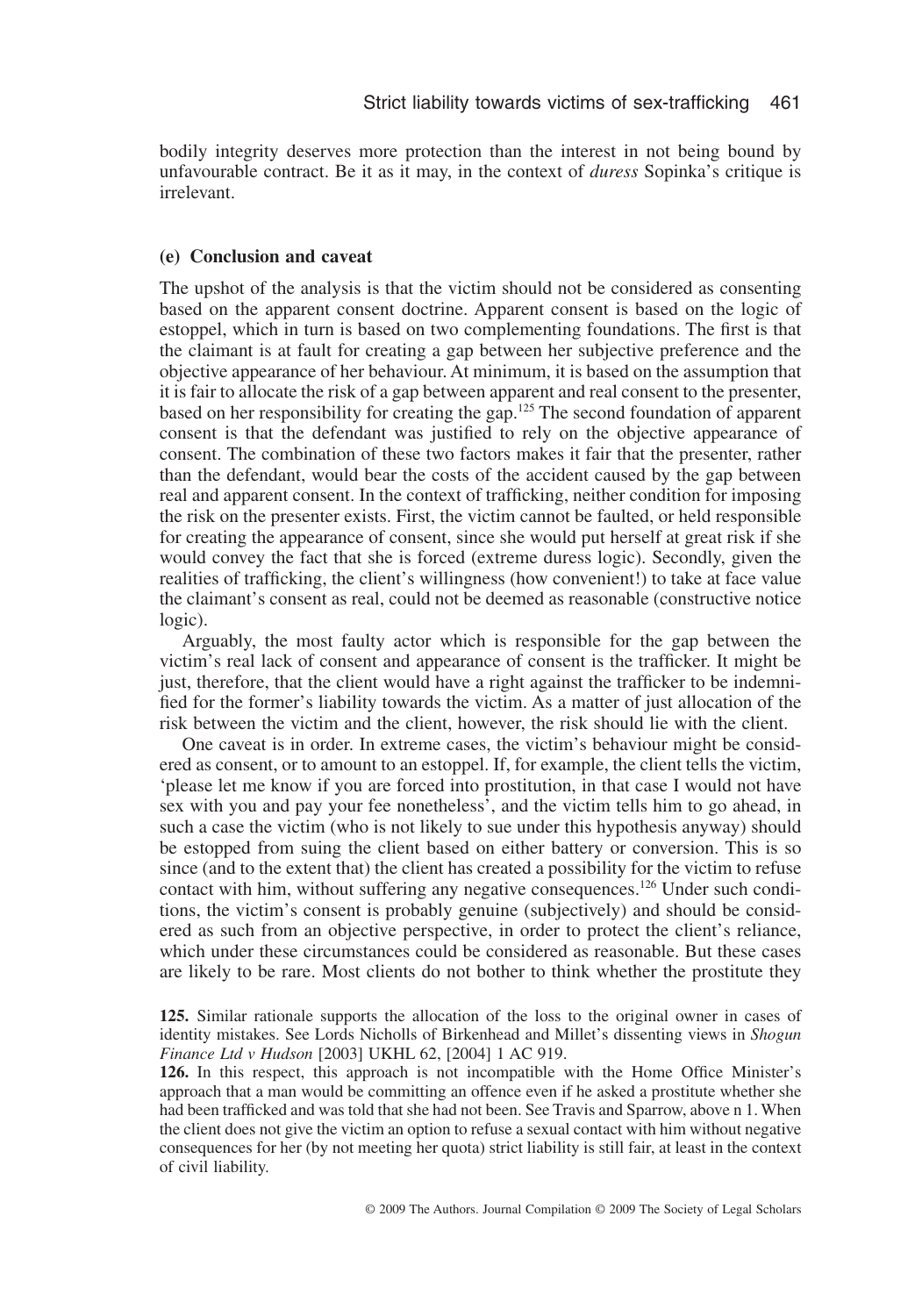bodily integrity deserves more protection than the interest in not being bound by unfavourable contract. Be it as it may, in the context of *duress* Sopinka's critique is irrelevant.

## **(e) Conclusion and caveat**

The upshot of the analysis is that the victim should not be considered as consenting based on the apparent consent doctrine. Apparent consent is based on the logic of estoppel, which in turn is based on two complementing foundations. The first is that the claimant is at fault for creating a gap between her subjective preference and the objective appearance of her behaviour. At minimum, it is based on the assumption that it is fair to allocate the risk of a gap between apparent and real consent to the presenter, based on her responsibility for creating the gap.<sup>125</sup> The second foundation of apparent consent is that the defendant was justified to rely on the objective appearance of consent. The combination of these two factors makes it fair that the presenter, rather than the defendant, would bear the costs of the accident caused by the gap between real and apparent consent. In the context of trafficking, neither condition for imposing the risk on the presenter exists. First, the victim cannot be faulted, or held responsible for creating the appearance of consent, since she would put herself at great risk if she would convey the fact that she is forced (extreme duress logic). Secondly, given the realities of trafficking, the client's willingness (how convenient!) to take at face value the claimant's consent as real, could not be deemed as reasonable (constructive notice logic).

Arguably, the most faulty actor which is responsible for the gap between the victim's real lack of consent and appearance of consent is the trafficker. It might be just, therefore, that the client would have a right against the trafficker to be indemnified for the former's liability towards the victim. As a matter of just allocation of the risk between the victim and the client, however, the risk should lie with the client.

One caveat is in order. In extreme cases, the victim's behaviour might be considered as consent, or to amount to an estoppel. If, for example, the client tells the victim, 'please let me know if you are forced into prostitution, in that case I would not have sex with you and pay your fee nonetheless', and the victim tells him to go ahead, in such a case the victim (who is not likely to sue under this hypothesis anyway) should be estopped from suing the client based on either battery or conversion. This is so since (and to the extent that) the client has created a possibility for the victim to refuse contact with him, without suffering any negative consequences.126 Under such conditions, the victim's consent is probably genuine (subjectively) and should be considered as such from an objective perspective, in order to protect the client's reliance, which under these circumstances could be considered as reasonable. But these cases are likely to be rare. Most clients do not bother to think whether the prostitute they

**125.** Similar rationale supports the allocation of the loss to the original owner in cases of identity mistakes. See Lords Nicholls of Birkenhead and Millet's dissenting views in *Shogun Finance Ltd v Hudson* [2003] UKHL 62, [2004] 1 AC 919.

**126.** In this respect, this approach is not incompatible with the Home Office Minister's approach that a man would be committing an offence even if he asked a prostitute whether she had been trafficked and was told that she had not been. See Travis and Sparrow, above n 1. When the client does not give the victim an option to refuse a sexual contact with him without negative consequences for her (by not meeting her quota) strict liability is still fair, at least in the context of civil liability.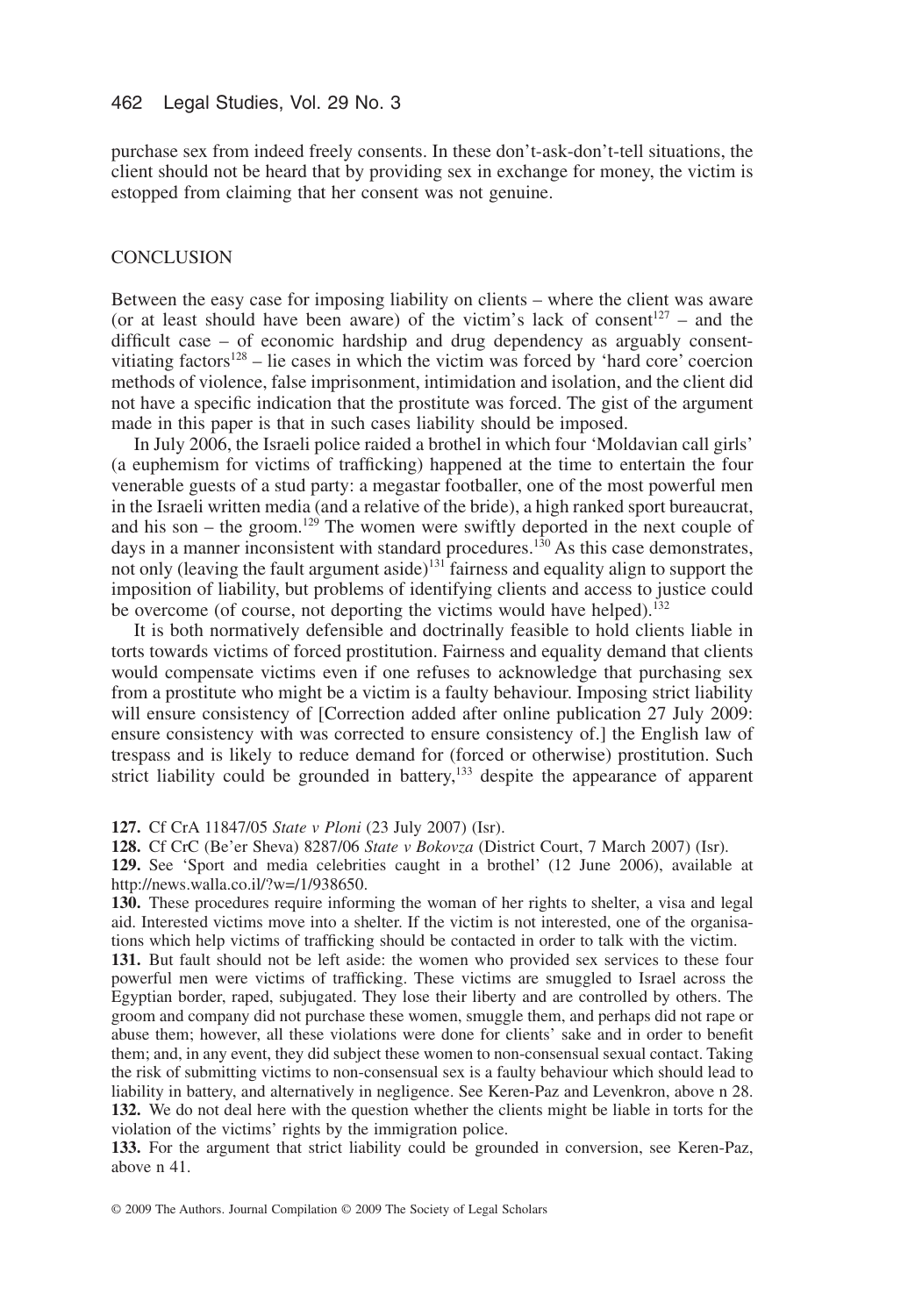# 462 Legal Studies, Vol. 29 No. 3

purchase sex from indeed freely consents. In these don't-ask-don't-tell situations, the client should not be heard that by providing sex in exchange for money, the victim is estopped from claiming that her consent was not genuine.

#### **CONCLUSION**

Between the easy case for imposing liability on clients – where the client was aware (or at least should have been aware) of the victim's lack of consent<sup>127</sup> – and the difficult case – of economic hardship and drug dependency as arguably consentvitiating factors<sup>128</sup> – lie cases in which the victim was forced by 'hard core' coercion methods of violence, false imprisonment, intimidation and isolation, and the client did not have a specific indication that the prostitute was forced. The gist of the argument made in this paper is that in such cases liability should be imposed.

In July 2006, the Israeli police raided a brothel in which four 'Moldavian call girls' (a euphemism for victims of trafficking) happened at the time to entertain the four venerable guests of a stud party: a megastar footballer, one of the most powerful men in the Israeli written media (and a relative of the bride), a high ranked sport bureaucrat, and his son – the groom.<sup>129</sup> The women were swiftly deported in the next couple of days in a manner inconsistent with standard procedures.<sup>130</sup> As this case demonstrates, not only (leaving the fault argument aside)<sup>131</sup> fairness and equality align to support the imposition of liability, but problems of identifying clients and access to justice could be overcome (of course, not deporting the victims would have helped).<sup>132</sup>

It is both normatively defensible and doctrinally feasible to hold clients liable in torts towards victims of forced prostitution. Fairness and equality demand that clients would compensate victims even if one refuses to acknowledge that purchasing sex from a prostitute who might be a victim is a faulty behaviour. Imposing strict liability will ensure consistency of [Correction added after online publication 27 July 2009: ensure consistency with was corrected to ensure consistency of.] the English law of trespass and is likely to reduce demand for (forced or otherwise) prostitution. Such strict liability could be grounded in battery,<sup>133</sup> despite the appearance of apparent

**127.** Cf CrA 11847/05 *State v Ploni* (23 July 2007) (Isr).

**128.** Cf CrC (Be'er Sheva) 8287/06 *State v Bokovza* (District Court, 7 March 2007) (Isr).

**129.** See 'Sport and media celebrities caught in a brothel' (12 June 2006), available at http://news.walla.co.il/?w=/1/938650.

**130.** These procedures require informing the woman of her rights to shelter, a visa and legal aid. Interested victims move into a shelter. If the victim is not interested, one of the organisations which help victims of trafficking should be contacted in order to talk with the victim.

**131.** But fault should not be left aside: the women who provided sex services to these four powerful men were victims of trafficking. These victims are smuggled to Israel across the Egyptian border, raped, subjugated. They lose their liberty and are controlled by others. The groom and company did not purchase these women, smuggle them, and perhaps did not rape or abuse them; however, all these violations were done for clients' sake and in order to benefit them; and, in any event, they did subject these women to non-consensual sexual contact. Taking the risk of submitting victims to non-consensual sex is a faulty behaviour which should lead to liability in battery, and alternatively in negligence. See Keren-Paz and Levenkron, above n 28. **132.** We do not deal here with the question whether the clients might be liable in torts for the violation of the victims' rights by the immigration police.

**133.** For the argument that strict liability could be grounded in conversion, see Keren-Paz, above n 41.